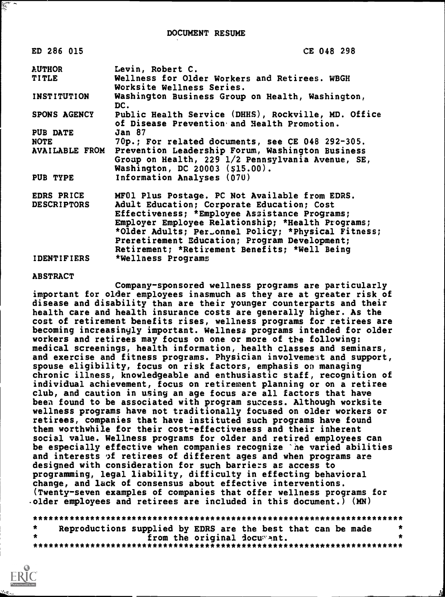| ED 286 015          | CE 048 298                                                                                                                               |
|---------------------|------------------------------------------------------------------------------------------------------------------------------------------|
| <b>AUTHOR</b>       | Levin, Robert C.                                                                                                                         |
| <b>TITLE</b>        | Wellness for Older Workers and Retirees. WBGH<br>Worksite Wellness Series.                                                               |
| INSTITUTION         | Washington Business Group on Health, Washington,<br>DC.                                                                                  |
| <b>SPONS AGENCY</b> | Public Health Service (DHHS), Rockville, MD. Office<br>of Disease Prevention and Health Promotion.                                       |
| <b>PUB DATE</b>     | <b>Jan 87</b>                                                                                                                            |
| <b>NOTE</b>         | 70p.; For related documents, see CE 048 292-305.                                                                                         |
| AVAILABLE FROM      | Prevention Leadership Forum, Washington Business<br>Group on Health, 229 1/2 Pennsylvania Avenue, SE,<br>Washington, DC 20003 (\$15.00). |
| PUB TYPE            | Information Analyses (070)                                                                                                               |
| EDRS PRICE          | MF01 Plus Postage. PC Not Available from EDRS.                                                                                           |
| <b>DESCRIPTORS</b>  | Adult Education; Corporate Education; Cost                                                                                               |
|                     | Effectiveness; *Employee Assistance Programs;                                                                                            |
|                     | Employer Employee Relationship; *Health Programs;                                                                                        |
|                     | *Older Adults; Per_onnel Policy; *Physical Fitness;                                                                                      |
|                     | Preretirement Education; Program Development;                                                                                            |
|                     | Retirement; *Retirement Benefits; *Well Being                                                                                            |
| <b>IDENTIFIERS</b>  | *Wellness Programs                                                                                                                       |

ABSTRACT

Company-sponsored wellness programs are particularly important for older employees inasmuch as they are at greater risk of disease and disability than are their younger counterparts and their health care and health insurance costs are generally higher. As the cost of retirement benefits rises, wellness programs for retirees are becoming increasingly important. Wellness programs intended for older workers and retirees may focus on one or more of the following: medical screenings, health information, health classes and seminars, and exercise and fitness programs. Physician involvement and support, spouse eligibility, focus on risk factors, emphasis on managing chronic illness, knowledgeable and enthusiastic staff, recognition of individual achievement, focus on retirement planning or on a retiree club, and caution in using an age focus are all factors that have been found to be associated with program success. Although worksite wellness programs have not traditionally focused on older workers or retirees, companies that have instituted such programs have found them worthwhile for their cost-effectiveness and their inherent social value. Wellness programs for older and retired employees can be especially effective when companies recognize 'he varied abilities and interests of retirees of different ages and when programs are designed with consideration for such barriers as access to programming, legal liability, difficulty in effecting behavioral change, and lack of consensus about effective interventions. (Twenty-seven examples of companies that offer wellness programs for -older employees and retirees are included in this document.) (MN)

\*\*\*\*\*\*\*\*\*\*\*\*\*\*\*\*\*\*\*\*\*\*\*\*\*\*\*\*\*\*\*\*\*\*\*\*\*\*\*\*\*\*\*\*\*\*\*\*\*\*\*\*\*\*\*\*\*\*\*\*\*\*\*\*\*\*\*\*\*\*\* \* Reproductions supplied by EDRS are the best that can be made \* \* from the original iocunt. \* \*\*\*\*\*\*\*\*\*\*\*\*\*\*\*\*\*\*\*\*\*\*\*\*\*\*\*\*\*\*\*\*\*\*\*\*\*\*\*\*\*\*\*\*\*\*\*\*\*\*\*\*\*\*\*\*\*\*\*\*\*\*\*\*\*\*\*\*\*\*\*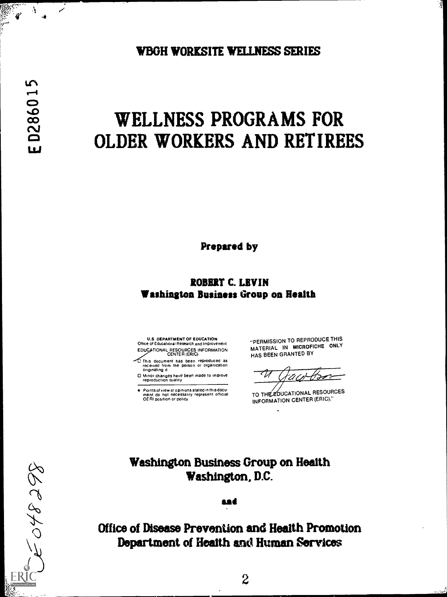WBGH WORKSITE WELLNESS SERIES

Ą

## WELLNESS PROGRAMS FOR OLDER WORKERS AND RETIREES

Prepared by

## ROBERT C. LEVIN Washington Business Group on Health

U.S DEPARTMENT OF EDUCATION Office of Educational Research and Improvement EDUC TIONAL RESOURCES INFORMATION CENTER (ERIC)

This document has been reproduced as received from the person or organization originating it

0 Minor changes have been made to improve reproduction quality

Points of view or opinions stated in this docu-ment do not necessarily represent official OE RI positron or policy

"PERMISSION TO REPRODUCE THIS MATERIAL IN MICROFICHE ONLY HAS BEEN GRANTED BY

یر

TO THE EDUCATIONAL RESOURCES INFORMATION CENTER (ERIC)."

## Washington Business Group on Health Washington, D.C.

sad

Office of Disease Prevention and Health Promotion Department of Health and Human Services

8668403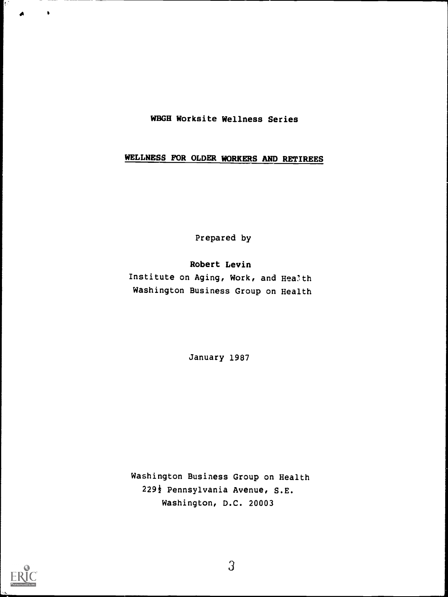#### WBGH Worksite Wellness Series

## WELLNESS FOR OLDER WORKERS AND RETIREES

Prepared by

Robert Levin Institute on Aging, Work, and Health Washington Business Group on Health

January 1987

Washington Business Group on Health 229<sup>}</sup> Pennsylvania Avenue, S.E. Washington, D.C. 20003



A

W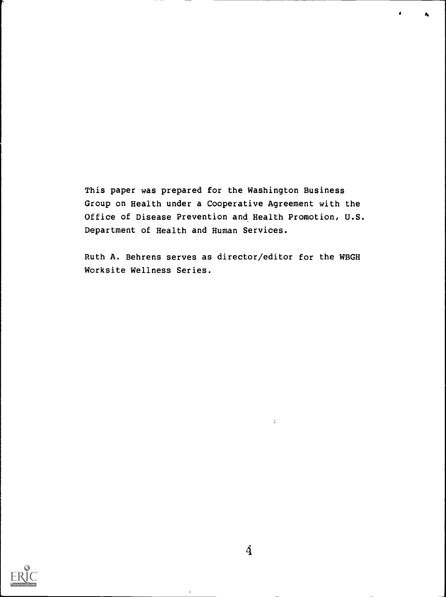This paper was prepared for the Washington Business Group on Health under a Cooperative Agreement with the Office of Disease Prevention and Health Promotion, U.S. Department of Health and Human Services.

A

Ruth A. Behrens serves as director/editor for the WBGH Worksite Wellness Series.



 $\Lambda$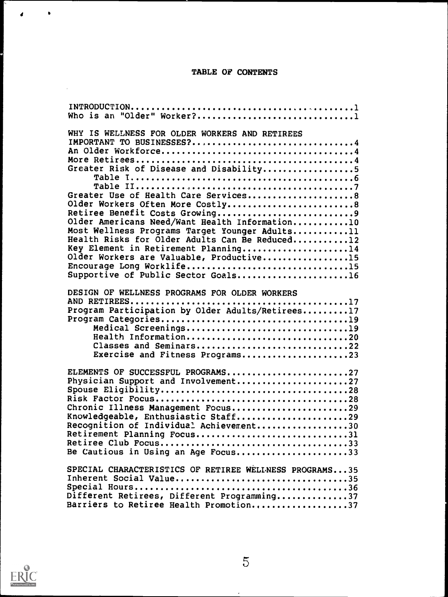## TABLE OF CONTENTS

| Who is an "Older" Worker?1                                                                                                                                                                                                                                                                                                                                                                                                                                                                                                                         |
|----------------------------------------------------------------------------------------------------------------------------------------------------------------------------------------------------------------------------------------------------------------------------------------------------------------------------------------------------------------------------------------------------------------------------------------------------------------------------------------------------------------------------------------------------|
| WHY IS WELLNESS FOR OLDER WORKERS AND RETIREES<br>IMPORTANT TO BUSINESSES?4<br>Greater Risk of Disease and Disability5<br>Greater Use of Health Care Services8<br>Older Workers Often More Costly8<br>Retiree Benefit Costs Growing9<br>Older Americans Need/Want Health Information10<br>Most Wellness Programs Target Younger Adults11<br>Health Risks for Older Adults Can Be Reduced12<br>Key Element in Retirement Planning14<br>Older Workers are Valuable, Productive15<br>Encourage Long Worklife15<br>Supportive of Public Sector Goals16 |
| DESIGN OF WELLNESS PROGRAMS FOR OLDER WORKERS<br>Program Participation by Older Adults/Retirees17<br>Medical Screenings19<br>Health Information20<br>Classes and Seminars22<br>Exercise and Fitness Programs23                                                                                                                                                                                                                                                                                                                                     |
| ELEMENTS OF SUCCESSFUL PROGRAMS27<br>Physician Support and Involvement27<br>Chronic Illness Management Focus29<br>Knowledgeable, Enthusiastic Staff29<br>Recognition of Individual Achievement30<br>Retirement Planning Focus31<br>Be Cautious in Using an Age Focus33                                                                                                                                                                                                                                                                             |
| SPECIAL CHARACTERISTICS OF RETIREE WELLNESS PROGRAMS35<br>Inherent Social Value35<br>Different Retirees, Different Programming37<br>Barriers to Retiree Health Promotion37                                                                                                                                                                                                                                                                                                                                                                         |



4

 $\sim$ 

 $\ddot{\phantom{0}}$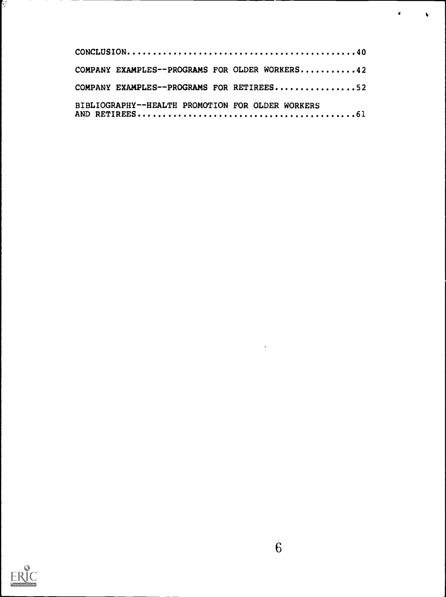| COMPANY EXAMPLES--PROGRAMS FOR OLDER WORKERS42   |  |
|--------------------------------------------------|--|
| COMPANY EXAMPLES--PROGRAMS FOR RETIREES52        |  |
| BIBLIOGRAPHY--HEALTH PROMOTION FOR OLDER WORKERS |  |

 $\bullet$ 

 $\bullet$ 



ķ.

 $\hat{\mathcal{E}}$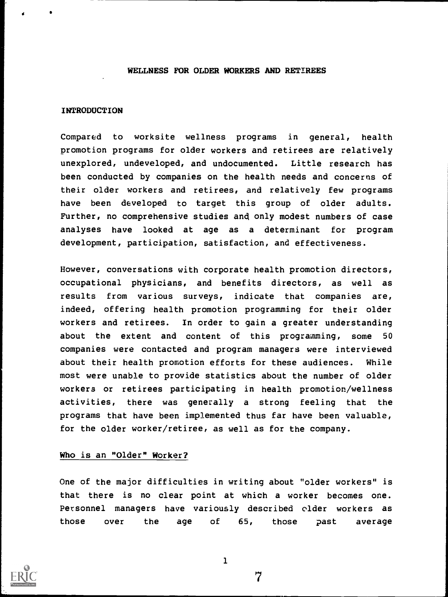#### WELLNESS FOR OLDER WORKERS AND RETIREES

#### INTRODUCTION

4

Compared to worksite wellness programs in general, health promotion programs for older workers and retirees are relatively unexplored, undeveloped, and undocumented. Little research has been conducted by companies on the health needs and concerns of their older workers and retirees, and relatively few programs have been developed to target this group of older adults. Further, no comprehensive studies and only modest numbers of case analyses have looked at age as a determinant for program development, participation, satisfaction, and effectiveness.

However, conversations with corporate health promotion directors, occupational physicians, and benefits directors, as well as results from various surveys, indicate that companies are, indeed, offering health promotion programming for their older workers and retirees. In order to gain a greater understanding about the extent and content of this programming, some 50 companies were contacted and program managers were interviewed about their health promotion efforts for these audiences. While most were unable to provide statistics about the number of older workers or retirees participating in health promotion/wellness activities, there was generally a strong feeling that the programs that have been implemented thus far have been valuable, for the older worker/retiree, as well as for the company.

#### Who is an "Older" Worker?

One of the major difficulties in writing about "older workers" is that there is no clear point at which a worker becomes one. Personnel managers have variously described older workers as those over the age of 65, those past average



1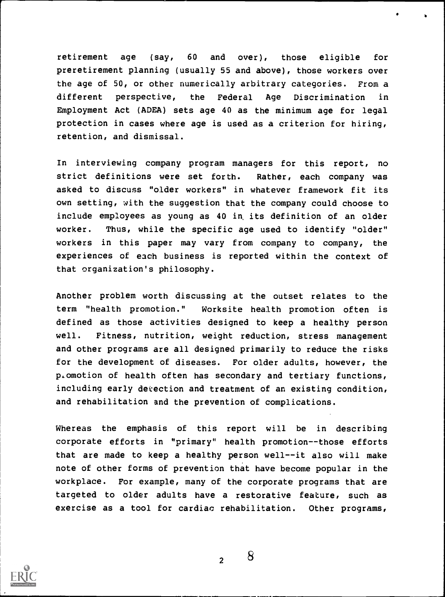retirement age (say, 60 and over), those eligible for preretirement planning (usually 55 and above), those workers over the age of 50, or other numerically arbitrary categories. From a different perspective, the Federal Age Discrimination in Employment Act (ADEA) sets age 40 as the minimum age for legal rotection in cases where age is used as a criterion for hiring, retention, and dismissal.

In interviewing company program managers for this report, no stric <sup>t</sup> definitions were set forth. Rather, each company was asked to discuss "older workers" in whatever framework fit its own sett ing, with the suggestion that the company could choose to include e mployees as young as 40 in its definition of an older worker. T hus, while the specific age used to identify "older" workers in this paper may vary from company to company, the experiences o f each business is reported within the context of that organizat ion's philosophy.

Another problem worth discussing at the outset relates to the term "health promotion." Worksite health promotion often is defined as those activities designed to keep a healthy person well. Fitness, nutrition, weight reduction, stress management and other programs are all designed primarily to reduce the risks for the development of diseases. For older adults, however, the p.omotion of health often has secondary and tertiary functions, including early detection and treatment of an existing condition, and rehabilitation and the prevention of complications.

Whereas the emphasis of this report will be in describing corporate efforts in "primary " health promotion--those efforts that are made to keep a health y person well--it also will make note of other forms of prevention that have become popular in the workplace. For example, many of t he corporate programs that are targeted to older adults have a restorative feature, such as exercise as a tool for cardiac rehabilitation. Other programs,



2

NMI 11.1111.1\*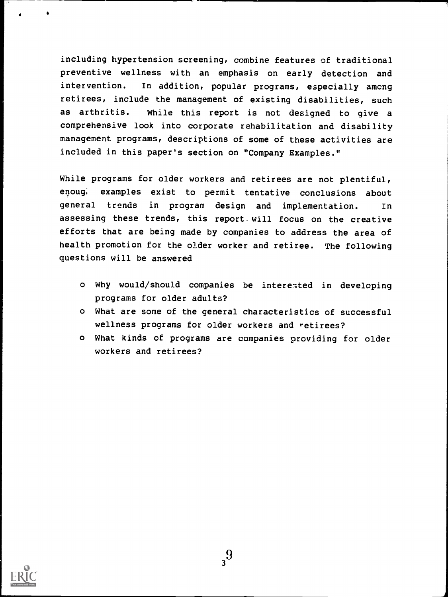including hypertension screening, combine features of traditional preventive wellness with an emphasis on early detection and intervention. In addition, popular programs, especially among retirees, include the management of existing disabilities, such as arthritis. While this report is not designed to give a comprehensive look into corporate rehabilitation and disability management programs, descriptions of some of these activities are included in this paper's section on "Company Examples."

While programs for older workers and retirees are not plentiful, enoug; examples exist to permit tentative conclusions about general trends in program design and implementation. In assessing these trends, this report. will focus on the creative efforts that are being made by companies to address the area of health promotion for the older worker and retiree. The following questions will be answered

- o Why would/should companies be interested in developing programs for older adults?
- o What are some of the general characteristics of successful wellness programs for older workers and retirees?
- o What kinds of programs are companies providing for older workers and retirees?

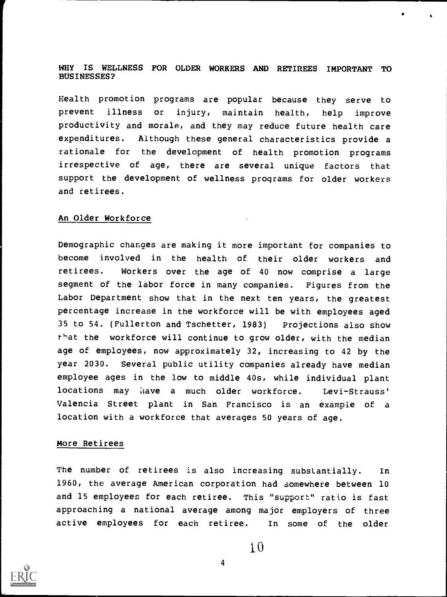#### WHY IS WELLNESS FOR OLDER WORKERS AND RETIREES IMPORTANT TO BUSINESSES?

Health promotion programs are popular because they serve to prevent illness or injury, maintain health, help improve productivity and morale, and they may reduce future health care expenditures. Although these general characteristics provide a rationale for the development of health promotion programs irrespective of age, there are several unique factors that support the development of wellness programs for older workers and retirees.

#### An Older Workforce

Demographic changes are making it more important for companies to become involved in the health of their older workers and retirees. Workers over the age of 40 now comprise <sup>a</sup> large segment of the labor force in many companies. Figures from the Labor Department show that in the next ten years, the greatest percentage increase in the workforce will be with employees aged 35 to 54. (Fullerton and Tschetter, 1983) Projections also show  $t$ hat the workforce will continue to grow older, with the median age of employees, now approximately 32, increasing to 42 by the year 2030. Several public utility companies already have median employee ages in the low to middle 40s, while individual plant locations may have a much older workforce. Levi-Strauss' Valencia Street plant in San Francisco is an example of a location with a workforce that averages 50 years of age.

#### More Retirees

The number of retirees is also increasing substantially. In 1960, the average American corporation had somewhere between 10 and 15 employees for each retiree. This "support" ratio is fast approaching a national average among major employers of three active employees for each retiree. In some of the older

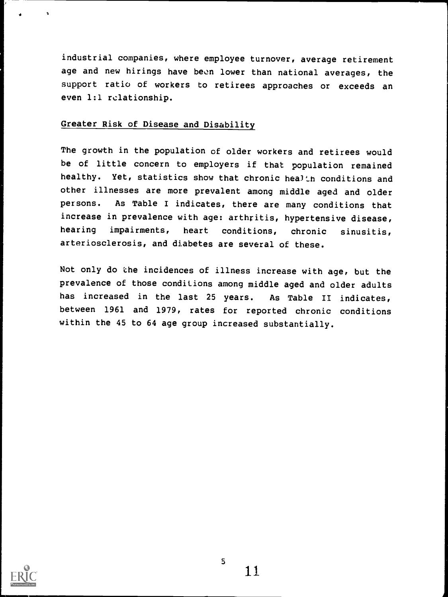industrial companies, where employee turnover, average retirement age and new hirings have been lower than national averages, the support ratio of workers to retirees approaches or exceeds an even 1:1 relationship.

## Greater Risk of Disease and Disability

The growth in the population of older workers and retirees would be of little concern to employers if that population remained healthy. Yet, statistics show that chronic health conditions and other illnesses are more prevalent among middle aged and older persons. As Table I indicates, there are many conditions that increase in prevalence with age: arthritis, hypertensive disease, hearing impairments, heart conditions, chronic sinusitis, arteriosclerosis, and diabetes are several of these.

Not only do the incidences of illness increase with age, but the prevalence of those conditions among middle aged and older adults has increased in the last 25 years. As Table II indicates, between 1961 and 1979, rates for reported chronic conditions within the 45 to 64 age group increased substantially.



 $5<sup>5</sup>$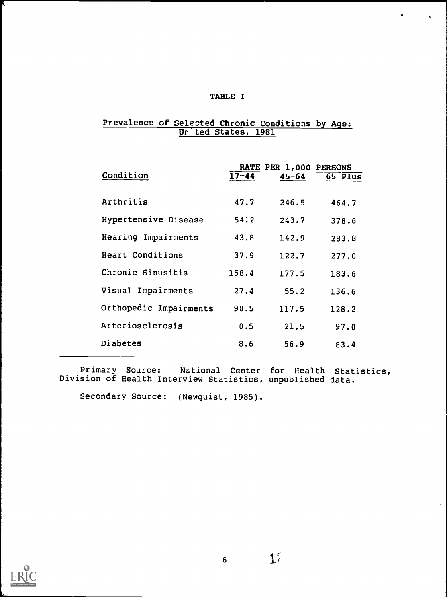#### TABLE I

 $\pmb{\mathsf{v}}$  .

 $\bullet$ 

#### Prevalence of Selected Chronic Conditions by Age: Ur'ted States, 1961

|                        |           | RATE PER 1,000 PERSONS |         |
|------------------------|-----------|------------------------|---------|
| Condition              | $17 - 44$ | $45 - 64$              | 65 Plus |
|                        |           |                        |         |
| Arthritis              | 47.7      | 246.5                  | 464.7   |
| Hypertensive Disease   |           |                        |         |
|                        | 54:2      | 243.7                  | 378.6   |
| Hearing Impairments    | 43.8      | 142.9                  | 283.8   |
| Heart Conditions       | 37.9      | 122.7                  | 277.0   |
|                        |           |                        |         |
| Chronic Sinusitis      | 158.4     | 177.5                  | 183.6   |
| Visual Impairments     | 27.4      | 55.2                   | 136.6   |
|                        |           |                        |         |
| Orthopedic Impairments | 90.5      | 117.5                  | 128.2   |
| Arteriosclerosis       | 0.5       | 21.5                   | 97.0    |
|                        |           |                        |         |
| Diabetes               | 8.6       | 56.9                   | 83.4    |

Primary Source: National Center for Health Statistics, Division of Health Interview Statistics, unpublished data.

Secondary Source: (Newquist, 1985).



 $\mathbf{1}^{\prime}$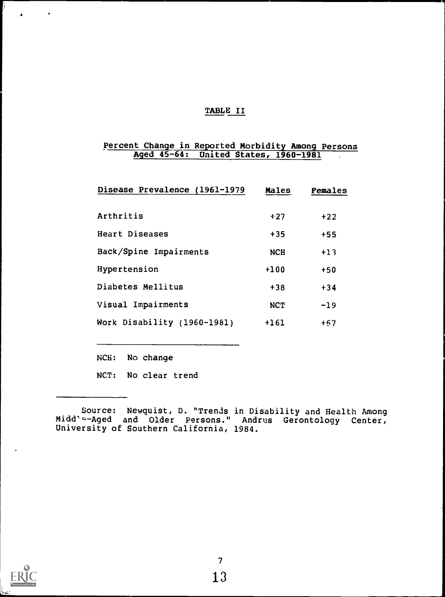#### TABLE II

#### Percent Change in Reported Morbidity Among Persona Aged 45-64: United States, 1960-1981 .

| Disease Prevalence (1961-1979 | Males      | Females |  |
|-------------------------------|------------|---------|--|
| Arthritis                     | $+27$      | $+22$   |  |
| <b>Heart Diseases</b>         | $+35$      | $+55$   |  |
| Back/Spine Impairments        | <b>NCH</b> | $+13$   |  |
| Hypertension                  | $+100$     | $+50$   |  |
| Diabetes Mellitus             | $+38$      | $+34$   |  |
| Visual Impairments            | <b>NCT</b> | $-19$   |  |
| Work Disability (1960-1981)   | $+161$     | $+57$   |  |

NCH: No change

NCT: No clear trend



 $\bullet$ 

Source: Newquist, D. "Trends in Disability and Health Among Midd'e-Aged and Older Persons." Andrus Gerontology Center, University of Southern California, 1984.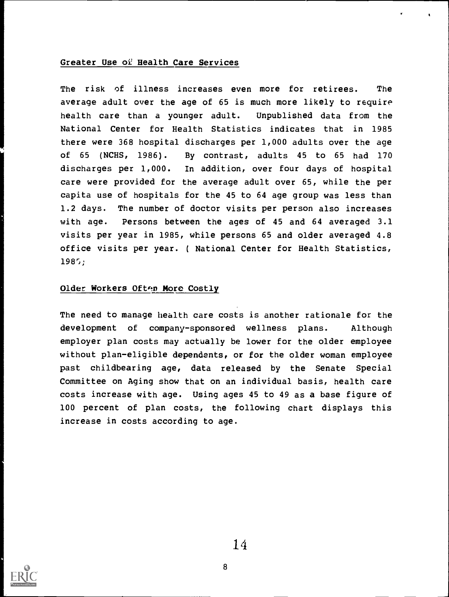#### Greater Use of Health Care Services

The risk of illness increases even more for retirees. The average adult over the age of 65 is much more likely to require health care than a younger adult. Unpublished data from the National Center for Health Statistics indicates that in 1985 there were 368 hospital discharges per 1,000 adults over the age of 65 (NCHS, 1986). By contrast, adults 45 to 65 had 170 discharges per 1,000. In addition, over four days of hospital care were provided for the average adult over 65, while the per capita use of hospitals for the 45 to 64 age group was less than 1.2 days. The number of doctor visits per person also increases with age. Persons between the ages of 45 and 64 averaged 3.1 visits per year in 1985, while persons 65 and older averaged 4.8 office visits per year. ( National Center for Health Statistics, 198;;

#### Older Workers Often More Costly

The need to manage health care costs is another rationale for the development of company-sponsored wellness plans. Although employer plan costs may actually be lower for the older employee without plan-eligible dependents, or for the older woman employee past childbearing age, data released by the Senate Special Committee on Aging show that on an individual basis, health care costs increase with age. Using ages 45 to 49 as a base figure of 100 percent of plan costs, the following chart displays this increase in costs according to age.

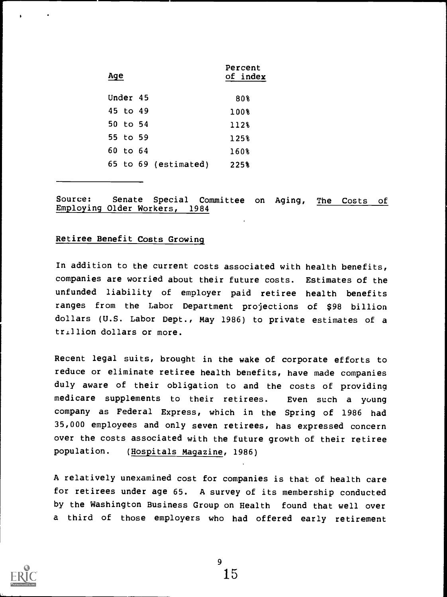| Age      |                      | Percent<br>of index |  |
|----------|----------------------|---------------------|--|
| Under 45 |                      | 80%                 |  |
| 45 to 49 |                      | 100%                |  |
| 50 to 54 |                      | 112%                |  |
| 55 to 59 |                      | 125%                |  |
| 60 to 64 |                      | 160%                |  |
|          | 65 to 69 (estimated) | 225%                |  |

Source: Senate Special Committee on Aging, The Costs of Employing Older Workers, 1984

#### Retiree Benefit Costs Growing

In addition to the current costs associated with health benefits, companies are worried about their future costs. Estimates of the unfunded liability of employer paid retiree health benefits ranges from the Labor Department projections of \$98 billion dollars (U.S. Labor Dept., May 1986) to private estimates of a trillion dollars or more.

Recent legal suits, brought in the wake of corporate efforts to reduce or eliminate retiree health benefits, have made companies duly aware of their obligation to and the costs of providing medicare supplements to their retirees. Even such a young company as Federal Express, which in the Spring of 1986 had 35,000 employees and only seven retirees, has expressed concern over the costs associated with the future growth of their retiree population. (Hospitals Magazine, 1986)

A relatively unexamined cost for companies is that of health care for retirees under age 65. A survey of its membership conducted by the Washington Business Group on Health found that well over <sup>a</sup> third of those employers who had offered early retirement

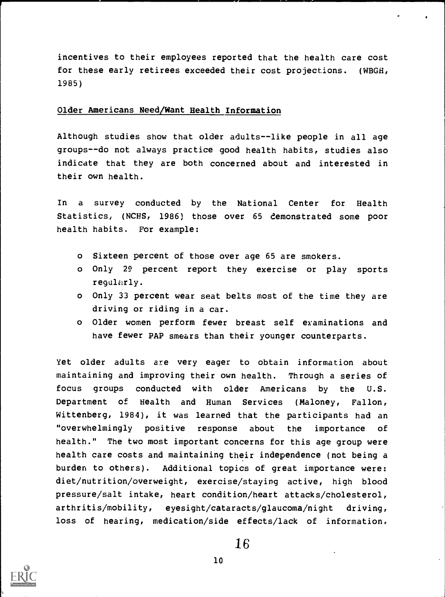incentives to their employees reported that the health care cost for these early retirees exceeded their cost projections. (WBGH, 1985)

#### Older Americans Need/Want Health Information

Although studies show that older adults--like people in all age groups--do not always practice good health habits, studies also indicate that they are both concerned about and interested in their own health.

In a survey conducted by the National Center for Health Statistics, (NCHS, 1986) those over 65 demonstrated some poor health habits. For example:

- o Sixteen percent of those over age 65 are smokers.
- o Only 29 percent report they exercise or play sports regularly.
- o Only 33 percent wear seat belts most of the time they are driving or riding in a car.
- o Older women perform fewer breast self examinations and have fewer PAP smears than their younger counterparts.

Yet older adults are very eager to obtain information about maintaining and improving their own health. Through a series of focus groups conducted with older Americans by the U.S. Department of Health and Human Services (Maloney, Fallon, Wittenberg, 1984), it was learned that the participants had an "overwhelmingly positive response about the importance of health." The two most important concerns for this age group were health care costs and maintaining their independence (not being a burden to others). Additional topics of great importance were: diet/nutrition/overweight, exercise/staying active, high blood pressure/salt intake, heart condition/heart attacks/cholesterol, arthritis/mobility, eyesight/cataracts/glaucoma/night driving, loss of hearing, medication/side effects/lack of information,

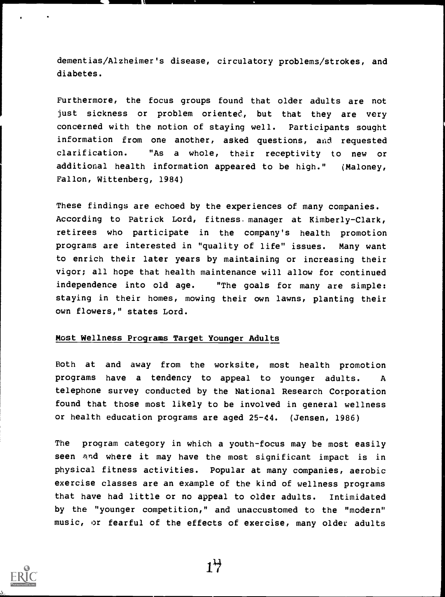dementias/Alzheimer's disease, circulatory problems/strokes, and diabetes.

Furthermore, the focus groups found that older adults are not just sickness or problem oriented, but that they are very concerned with the notion of staying well. Participants sought information from one another, asked questions, and requested clarification. "As a whole, their receptivity to new or additional health information appeared to be high." (Maloney, Fallon, Wittenberg, 1984)

These findings are echoed by the experiences of many companies. According to Patrick Lord, fitness. manager at Kimberly-Clark, retirees who participate in the company's health promotion programs are interested in "quality of life" issues. Many want to enrich their later years by maintaining or increasing their vigor; all hope that health maintenance will allow for continued independence into old age. "The goals for many are simple: staying in their homes, mowing their own lawns, planting their own flowers," states Lord.

#### Most Wellness Programs Target Younger Adults

Both at and away from the worksite, most health promotion programs have a tendency to appeal to younger adults. A telephone survey conducted by the National Research Corporation found that those most likely to be involved in general wellness or health education programs are aged 25-44. (Jensen, 1986)

The program category in which a youth-focus may be most easily seen and where it may have the most significant impact is in physical fitness activities. Popular at many companies, aerobic exercise classes are an example of the kind of wellness programs that have had little or no appeal to older adults. Intimidated by the "younger competition," and unaccustomed to the "modern" music, or fearful of the effects of exercise, many older adults



 $1\frac{11}{2}$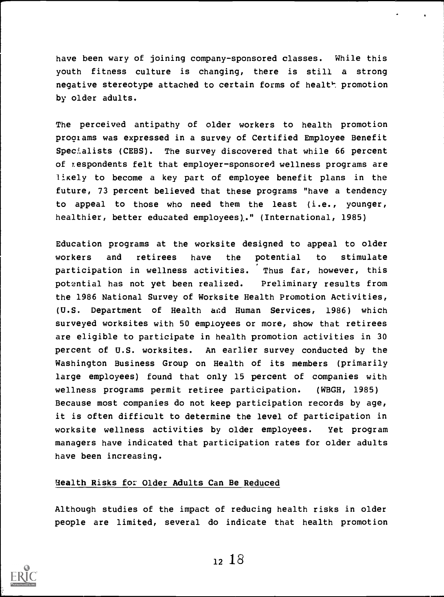have been wary of joining company-sponsored classes. While this youth fitness culture is changing, there is still a strong negative stereotype attached to certain forms of healt<sup>P</sup>. promotion by older adults.

The perceived antipathy of older workers to health promotion programs was expressed in a survey of Certified Employee Benefit Specialists (CEBS). The survey discovered that while 66 percent of respondents felt that employer-sponsored wellness programs are likely to become a key part of employee benefit plans in the future, 73 percent believed that these programs "have a tendency to appeal to those who need them the least (i.e., younger, healthier, better educated employees),." (International, 1985)

Education programs at the worksite designed to appeal to older workers and retirees have the potential to stimulate participation in wellness activities. Thus far, however, this potential has not yet been realized. Preliminary results from the 1986 National Survey of Worksite Health Promotion Activities, (U.S. Department of Health aid Human Services, 1986) which surveyed worksites with 50 employees or more, show that retirees are eligible to participate in health promotion activities in 30 percent of U.S. worksites. An earlier survey conducted by the Washington Business Group on Health of its members (primarily large employees) found that only 15 percent of companies with wellness programs permit retiree participation. (WBGH, 1985) Because most companies do not keep participation records by age, it is often difficult to determine the level of participation in worksite wellness activities by older employees. Yet program managers have indicated that participation rates for older adults have been increasing.

#### Health Risks for Older Adults Can Be Reduced

Although studies of the impact of reducing health risks in older people are limited, several do indicate that health promotion

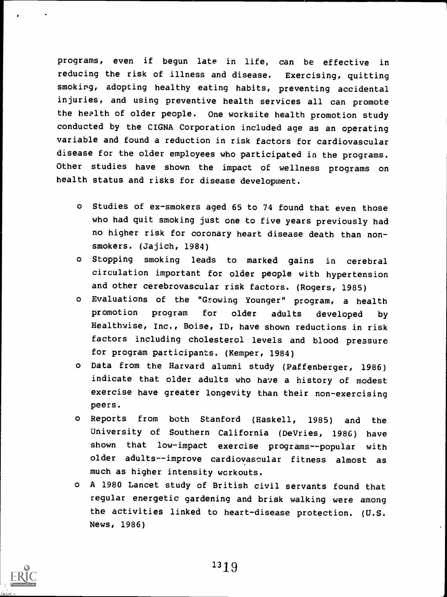programs, even if begun late in life, can be effective in reducing the risk of illness and disease. Exercising, quitting smoking, adopting healthy eating habits, preventing accidental injuries, and using preventive health services all can promote the health of older people. One worksite health promotion study conducted by the CIGNA Corporation included age as an operating variable and found a reduction in risk factors for cardiovascular disease for the older employees who participated in the programs. Other studies have shown the impact of wellness programs on health status and risks for disease development.

- o Studies of ex-smokers aged 65 to 74 found that even those who had quit smoking just one to five years previously had no higher risk for coronary heart disease death than nonsmokers. (Jajich, 1984)
- o Stopping smoking leads to marked gains in cerebral circulation important for older people with hypertension and other cerebrovascular risk factors. (Rogers, 1985)
- o Evaluations of the "Growing Younger" program, a health promotion program for older adults developed by Healthwise, Inc., Boise, ID, have shown reductions in risk factors including cholesterol levels and blood pressure for program participants. (Kemper, 1984)
- o Data from the Harvard alumni study (Paffenberger, 1986) indicate that older adults who have a history of modest exercise have greater longevity than their non-exercising peers.
- o Reports from both Stanford (Haskell, 1985) and the University of Southern California (DeVries, 1986) have shown that low-impact exercise programs--popular with older adults--improve cardiovascular fitness almost as much as higher intensity workouts.
- o A 1980 Lancet study of British civil servants found that regular energetic gardening and brisk walking were among the activities linked to heart-disease protection. (U.S. News, 1986)

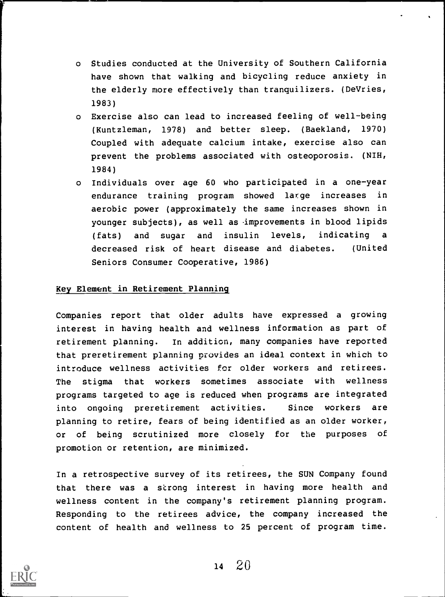- o Studies conducted at the University of Southern California have shown that walking and bicycling reduce anxiety in the elderly more effectively than tranquilizers. (DeVries, 1983)
- o Exercise also can lead to increased feeling of well-being (Kuntzleman, 1978) and better sleep. (Baekland, 1970) Coupled with adequate calcium intake, exercise also can prevent the problems associated with osteoporosis. (NIH, 1984)
- o Individuals over age 60 who participated in a one-year endurance training program showed large increases in aerobic power (approximately the same increases shown in younger subjects), as well as improvements in blood lipids (fats) and sugar and insulin levels, indicating decreased risk of heart disease and diabetes. (United Seniors Consumer Cooperative, 1986)

#### Key Element in Retirement Planning

Companies report that older adults have expressed a growing interest in having health and wellness information as part of retirement planning. In addition, many companies have reported that preretirement planning provides an ideal context in which to introduce wellness activities for older workers and retirees. The stigma that workers sometimes associate with wellness programs targeted to age is reduced when programs are integrated into ongoing preretirement activities. Since workers are planning to retire, fears of being identified as an older worker, or of being scrutinized more closely for the purposes of promotion or retention, are minimized.

In a retrospective survey of its retirees, the SUN Company found that there was a strong interest in having more health and wellness content in the company's retirement planning program. Responding to the retirees advice, the company increased the content of health and wellness to 25 percent of program time.



 $14 \quad 20$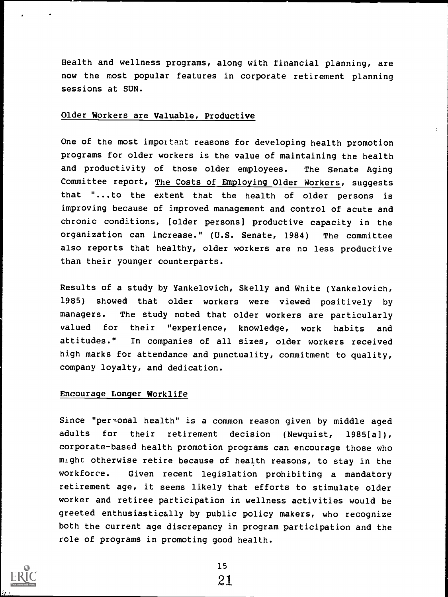Health and wellness programs, along with financial planning, are now the most popular features in corporate retirement planning sessions at SUN.

#### Older Workers are Valuable, Productive

One of the most impottant reasons for developing health promotion programs for older workers is the value of maintaining the health and productivity of those older employees. The Senate Aging Committee report, The Costs of Employing Older Workers, suggests that "...to the extent that the health of older persons is improving because of improved management and control of acute and chronic conditions, [older persons] productive capacity in the organization can increase." (U.S. Senate, 1984) The committee also reports that healthy, older workers are no less productive than their younger counterparts.

Results of a study by Yankelovich, Skelly and White (Yankelovich, 1985) showed that older workers were viewed positively by managers. The study noted that older workers are particularly valued for their "experience, knowledge, work habits and attitudes." In companies of all sizes, older workers received high marks for attendance and punctuality, commitment to quality, company loyalty, and dedication.

#### Encourage Longer Worklife

Since "personal health" is a common reason given by middle aged adults for their retirement decision (Newquist, 1985[a]), corporate-based health promotion programs can encourage those who might otherwise retire because of health reasons, to stay in the workforce. Given recent legislation prohibiting a mandatory retirement age, it seems likely that efforts to stimulate older worker and retiree participation in wellness activities would be greeted enthusiastically by public policy makers, who recognize both the current age discrepancy in program participation and the role of programs in promoting good health.

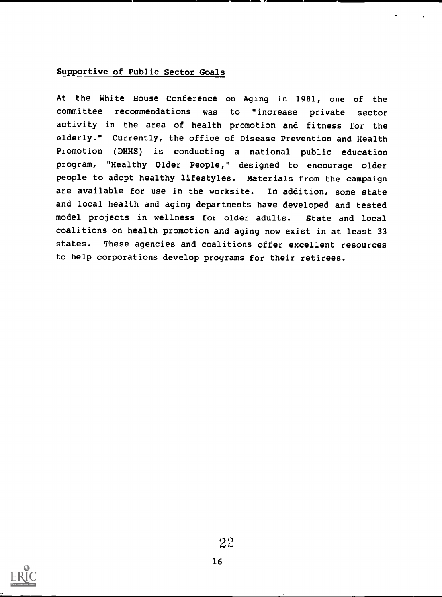#### Supportive of Public Sector Goals

At the White House Conference on Aging in 1981, one of the committee recommendations was to "increase private sector activity in the area of health promotion and fitness for the elderly." Currently, the office of Disease Prevention and Health Promotion (DHHS) is conducting a national public education program, "Healthy Older People," designed to encourage older people to adopt healthy lifestyles. Materials from the campaign are available for use in the worksite. In addition, some state and local health and aging departments have developed and tested model projects in wellness fot older adults. State and local coalitions on health promotion and aging now exist in at least 33 states. These agencies and coalitions offer excellent resources to help corporations develop programs for their retirees.

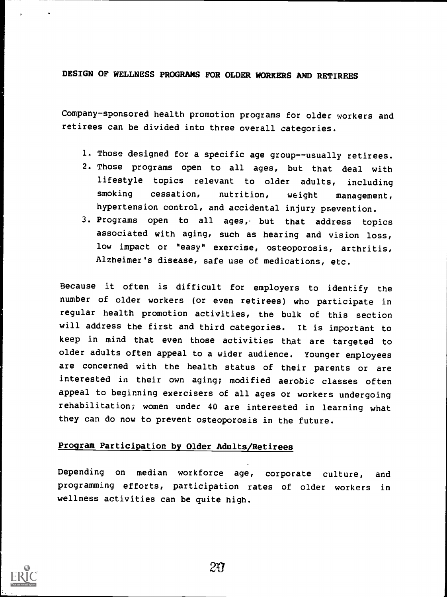DESIGN OF WELLNESS PROGRAMS FOR OLDER WORKERS AND RETIREES

Company-sponsored health promotion programs for older workers and retirees can be divided into three overall categories.

- 1. Those designed for a specific age group--usually retirees.
- 2. Those programs open to all ages, but that deal with lifestyle topics relevant to older adults, including smoking cessation, nutrition, weight management, hypertension control, and accidental injury prevention.
- 3. Programs open to all ages, but that address topics associated with aging, such as hearing and vision loss, low impact or "easy" exercise, osteoporosis, arthritis, Alzheimer's disease, safe use of medications, etc.

Because it often is difficult for employers to identify the number of older workers (or even retirees) who participate in regular health promotion activities, the bulk of this section will address the first and third categories. It is important to keep in mind that even those activities that are targeted to older adults often appeal to a wider audience. Younger employees are concerned with the health status of their parents or are interested in their own aging; modified aerobic classes often appeal to beginning exercisers of all ages or workers undergoing rehabilitation; women under 40 are interested in learning what they can do now to prevent osteoporosis in the future.

#### Program Participation by Older Adults/Retirees

Depending on median workforce age, corporate culture, and programming efforts, participation rates of older workers in wellness activities can be quite high.

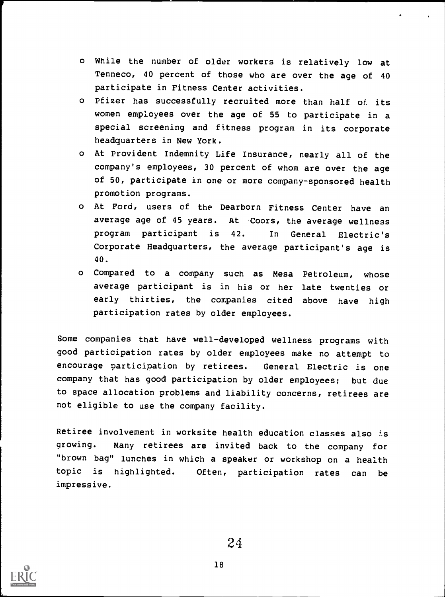- o While the number of older workers is relatively low at Tenneco, 40 percent of those who are over the age of 40 participate in Fitness Center activities.
- o Pfizer has successfully recruited more than half of its women employees over the age of 55 to participate in a special screening and fitness program in its corporate headquarters in New York.
- o At Provident Indemnity Life Insurance, nearly all of the company's employees, 30 percent of whom are over the age of 50, participate in one or more company-sponsored health promotion programs.
- o At Ford, users of the Dearborn Fitness Center have an average age of 45 years. At Coors, the average wellness program participant is 42. In General Electric's Corporate Headquarters, the average participant's age is 40.
- o Compared to a company such as Mesa Petroleum, whose average participant is in his or her late twenties or early thirties, the companies cited above have high participation rates by older employees.

Some companies that have well-developed wellness programs with good participation rates by older employees make no attempt to encourage participation by retirees. General Electric is one company that has good participation by older employees; but due to space allocation problems and liability concerns, retirees are not eligible to use the company facility.

Retiree involvement in worksite health education classes also is growing. Many retirees are invited back to the company for "brown bag" lunches in which a speaker or workshop on a health topic is highlighted. Often, participation rates can be impressive.

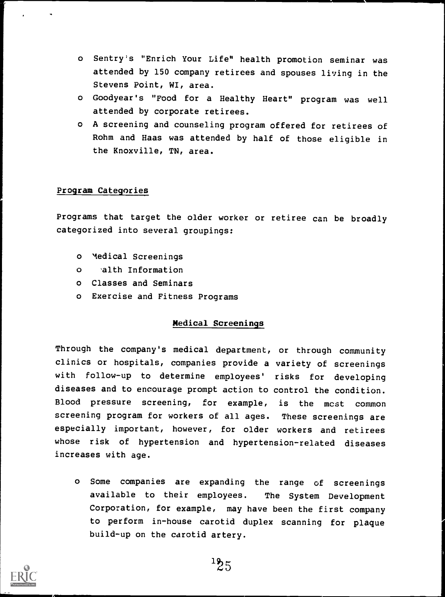- o Sentry's "Enrich Your Life" health promotion seminar was attended by 150 company retirees and spouses living in the Stevens Point, WI, area.
- o Goodyear's "Food for a Healthy Heart" program was well attended by corporate retirees.
- o A screening and counseling program offered for retirees of Rohm and Haas was attended by half of those eligible in the Knoxville, TN, area.

#### Program Categories

Programs that target the older worker or retiree can be broadly categorized into several groupings:

- o Medical Screenings
- o 'alth Information
- o Classes and Seminars
- o Exercise and Fitness Programs

#### Medical Screenings

Through the company's medical department, or through community clinics or hospitals, companies provide a variety of screenings with follow-up to determine employees' risks for developing diseases and to encourage prompt action to control the condition. Blood pressure screening, for example, is the most common screening program for workers of all ages. These screenings are especially important, however, for older workers and retirees whose risk of hypertension and hypertension-related diseases increases with age.

o Some companies are expanding the range of screenings available to their employees. The System Development Corporation, for example, may have been the first company to perform in-house carotid duplex scanning for plaque build-up on the carotid artery.

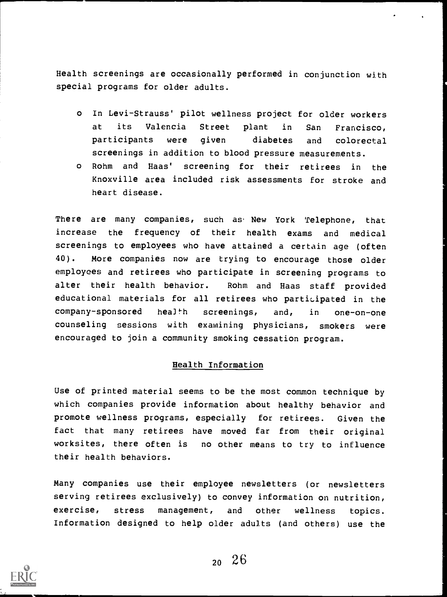Health screenings are occasionally performed in conjunction with special programs for older adults.

- o In Levi-Strauss' pilot wellness project for older workers at its Valencia Street plant in San Francisco, participants were given diabetes and colorectal screenings in addition to blood pressure measurements.
- o Rohm and Haas' screening for their retirees in the Knoxville area included risk assessments for stroke and heart disease.

There are many companies, such as New York Telephone, that increase the frequency of their health exams and medical screenings to employees who have attained a certain age (often 40). More companies now are trying to encourage those older employees and retirees who participate in screening programs to alter their health behavior. Rohm and Haas staff provided educational materials for all retirees who participated in the company-sponsored health screenings, and, in one-on-one counseling sessions with examining physicians, smokers were encouraged to join a community smoking cessation program.

#### Health Information

Use of printed material seems to be the most common technique by which companies provide information about healthy behavior and promote wellness programs, especially for retirees. Given the fact that many retirees have moved far from their original worksites, there often is no other means to try to influence their health behaviors.

Many companies use their employee newsletters (or newsletters serving retirees exclusively) to convey information on nutrition, exercise, stress management, and other wellness topics. Information designed to help older adults (and others) use the

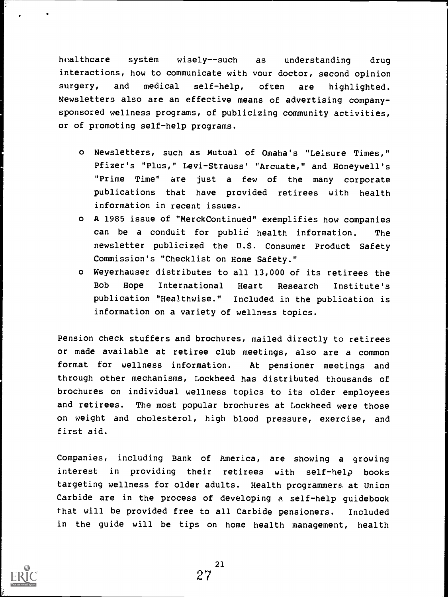healthcare system wisely--such as understanding drug interactions, how to communicate with your doctor, second opinion surgery, and medical self-help, often are highlighted. Newsletters also are an effective means of advertising companysponsored wellness programs, of publicizing community activities, or of promoting self-help programs.

- o Newsletters, such as Mutual of Omaha's "Leisure Times," Pfizer's "Plus," Levi-Strauss' "Arcuate," and Honeywell's "Prime Time" are just a few of the many corporate publications that have provided retirees with health information in recent issues.
- o A 1985 issue of "MerckContinued" exemplifies how companies can be a conduit for public health information. The newsletter publicized the U.S. Consumer Product Safety Commission's "Checklist on Home Safety."
- o Weyerhauser distributes to all 13,000 of its retirees the Bob Hope International Heart Research Institute's publication "Healthwise." Included in the publication is information on a variety of wellness topics.

Pension check stuffers and brochures, mailed directly to retirees or made available at retiree club meetings, also are a common format for wellness information. At pensioner meetings and through other mechanisms, Lockheed has distributed thousands of brochures on individual wellness topics to its older employees and retirees. The most popular brochures at Lockheed were those on weight and cholesterol, high blood pressure, exercise, and first aid.

Companies, including Bank of America, are showing a growing interest in providing their retirees with self-help books targeting wellness for older adults. Health programmers at Union Carbide are in the process of developing a self-help guidebook that will be provided free to all Carbide pensioners. Included in the guide will be tips on home health management, health

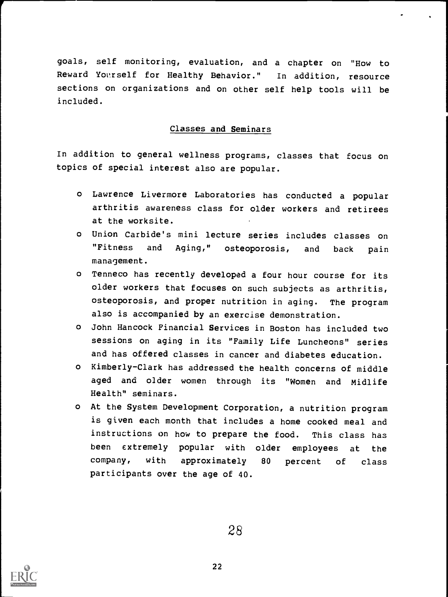goals, self monitoring, evaluation, and a chapter on "How to Reward Yourself for Healthy Behavior." In addition, resource sections on organizations and on other self help tools will be included.

#### Classes and Seminars

In addition to general wellness programs, classes that focus on topics of special interest also are popular.

- o Lawrence Livermore Laboratories has conducted a popular arthritis awareness class for older workers and retirees at the worksite.
- o Union Carbide's mini lecture series includes classes on "Fitness and Aging," osteoporosis, and back pain management.
- o Tenneco has recently developed a four hour course for its older workers that focuses on such subjects as arthritis, osteoporosis, and proper nutrition in aging. The program also is accompanied by an exercise demonstration.
- o John Hancock Financial Services in Boston has included two sessions on aging in its "Family Life Luncheons" series and has offered classes in cancer and diabetes education.
- o Kimberly-Clark has addressed the health concerns of middle aged and older women through its "Women and Midlife Health" seminars.
- o At the System Development Corporation, a nutrition program is given each month that includes a home cooked meal and instructions on how to prepare the food. This class has been extremely popular with older employees at the company, with approximately 80 percent of class participants over the age of 40.

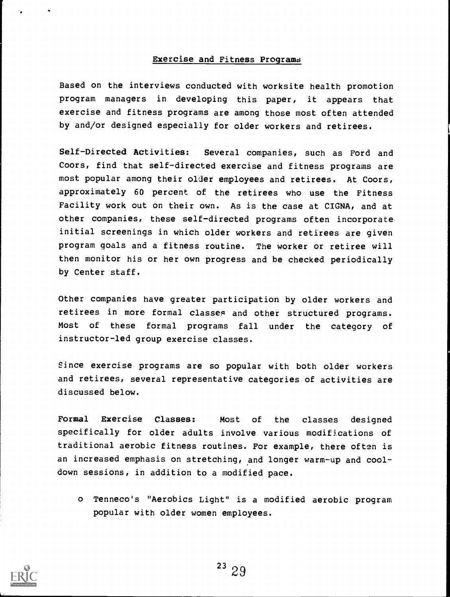#### Exercise and Fitness Programs

Based on the interviews conducted with worksite health promotion program managers in developing this paper, it appears that exercise and fitness programs are among those most often attended by and/or designed especially for older workers and retirees.

Self-Directed Activities: Several companies, such as Ford and Coors, find that self-directed exercise and fitness programs are most popular among their older employees and retirees. At Coors, approximately 60 percent of the retirees who use the Fitness Facility work out on their own. As is the case at CIGNA, and at other companies, these self-directed programs often incorporate initial screenings in which older workers and retirees are given program goals and a fitness routine. The worker or retiree will then monitor his or her own progress and be checked periodically by Center staff.

Other companies have greater participation by older workers and retirees in more formal classes and other structured programs. Most of these formal programs fall under the category of instructor-led group exercise classes.

Since exercise programs are so popular with both older workers and retirees, several representative categories of activities are discussed below.

Formal Exercise Classes: Most of the classes designed specifically for older adults involve various modifications of traditional aerobic fitness routines. For example, there often is an increased emphasis on stretching, and longer warm-up and cooldown sessions, in addition to a modified pace.

o Tenneco's "Aerobics Light" is a modified aerobic program popular with older women employees.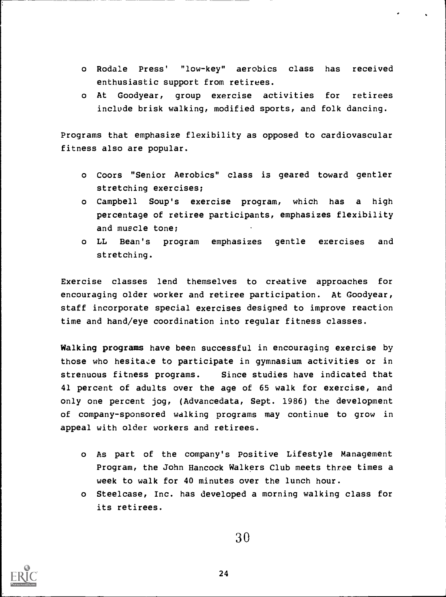- o Rodale Press' "low-key" aerobics class has received enthusiastic support from retirees.
- o At Goodyear, group exercise activities for retirees include brisk walking, modified sports, and folk dancing.

Programs that emphasize flexibility as opposed to cardiovascular fitness also are popular.

- o Coors "Senior Aerobics" class is geared toward gentler stretching exercises;
- o Campbell Soup's exercise program, which has a high percentage of retiree participants, emphasizes flexibility and muscle tone;
- o LL Bean's program emphasizes gentle exercises and stretching.

Exercise classes lend themselves to creative approaches for encouraging older worker and retiree participation. At Goodyear, staff incorporate special exercises designed to improve reaction time and hand/eye coordination into regular fitness classes.

Walking programs have been successful in encouraging exercise by those who hesitate to participate in gymnasium activities or in strenuous fitness programs. Since studies have indicated that 41 percent of adults over the age of 65 walk for exercise, and only one percent jog, (Advancedata, Sept. 1986) the development of company-sponsored walking programs may continue to grow in appeal with older workers and retirees.

- o As part of the company's Positive Lifestyle Management Program, the John Hancock Walkers Club meets three times a week to walk for 40 minutes over the lunch hour.
- o Steelcase, Inc. has developed a morning walking class for its retirees.



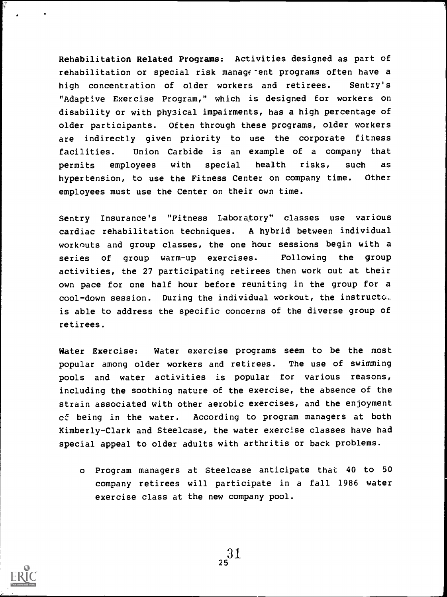Rehabilitation Related Programs: Activities designed as part of rehabilitation or special risk managerent programs often have a high concentration of older workers and retirees. Sentry's "Adaptive Exercise Program," which is designed for workers on disability or with phy3ical impairments, has a high percentage of older participants. Often through these programs, older workers are indirectly given priority to use the corporate fitness facilities. Union Carbide is an example of a company that permits employees with special health risks, such as hypertension, to use the Fitness Center on company time. Other employees must use the Center on their own time.

Sentry Insurance's "Fitness Laboratory" classes use various cardiac rehabilitation techniques. A hybrid between individual workouts and group classes, the one hour sessions begin with a series of group warm-up exercises. Following the group activities, the 27 participating retirees then work out at their own pace for one half hour before reuniting in the group for a cool-down session. During the individual workout, the instructo.. is able to address the specific concerns of the diverse group of retirees.

Water Exercise: Water exercise programs seem to be the most popular among older workers and retirees. The use of swimming pools and water activities is popular for various reasons, including the soothing nature of the exercise, the absence of the strain associated with other aerobic exercises, and the enjoyment of being in the water. According to program managers at both Kimberly-Clark and Steelcase, the water exercise classes have had special appeal to older adults with arthritis or back problems.

o Program managers at Steelcase anticipate that 40 to 50 company retirees will participate in a fall 1986 water exercise class at the new company pool.

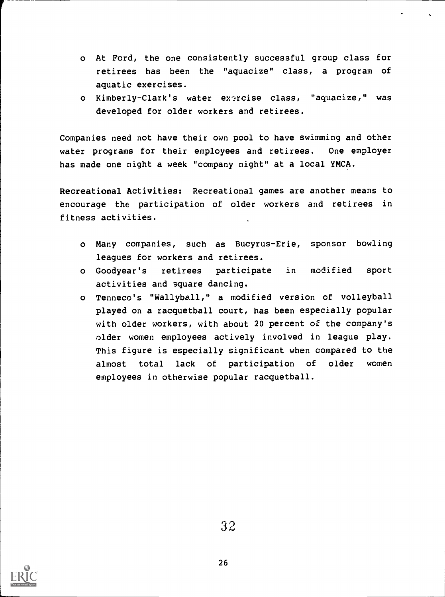- o At Ford, the one consistently successful group class for retirees has been the "aquacize" class, a program of aquatic exercises.
- o Kimberly-Clark's water exercise class, "aquacize," was developed for older workers and retirees.

Companies need not have their own pool to have swimming and other water programs for their employees and retirees. One employer has made one night a week "company night" at a local YMCA.

Recreational Activities: Recreational games are another means to encourage the participation of older workers and retirees in fitness activities.

- o Many companies, such as Bucyrus-Erie, sponsor bowling leagues for workers and retirees.
- o Goodyear's retirees participate in modified sport activities and Square dancing.
- o Tenneco's "Wallyball," a modified version of volleyball played on a racquetball court, has been especially popular with older workers, with about 20 percent of the company's older women employees actively involved in league play. This figure is especially significant when compared to the almost total lack of participation of older women employees in otherwise popular racquetball.

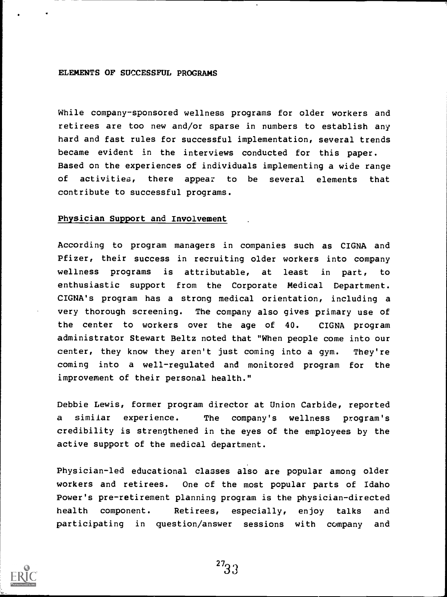#### ELEMENTS OF SUCCESSFUL PROGRAMS

While company-sponsored wellness programs for older workers and retirees are too new and/or sparse in numbers to establish any hard and fast rules for successful implementation, several trends became evident in the interviews conducted for this paper. Based on the experiences of individuals implementing a wide range of activities, there appear to be several elements that contribute to successful programs.

#### Physician Support and Involvement

According to program managers in companies such as CIGNA and Pfizer, their success in recruiting older workers into company wellness programs is attributable, at least in part, to enthusiastic support from the Corporate Medical Department. CIGNA's program has a strong medical orientation, including a very thorough screening. The company also gives primary use of the center to workers over the age of 40. CIGNA program administrator Stewart Beltz noted that "When people come into our center, they know they aren't just coming into a gym. They're coming into a well-regulated and monitored program for the improvement of their personal health."

Debbie Lewis, former program director at Union Carbide, reported a similar experience. The company's wellness program's credibility is strengthened in the eyes of the employees by the active support of the medical department.

Physician-led educational classes also are popular among older workers and retirees. One of the most popular parts of Idaho Power's pre-retirement planning program is the physician-directed health component. Retirees, especially, enjoy talks and participating in question/answer sessions with company and

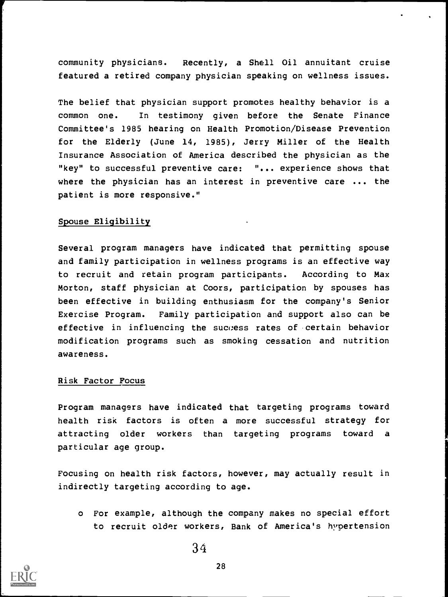community physicians. Recently, a Shell Oil annuitant cruise featured a retired company physician speaking on wellness issues.

The belief that physician support promotes healthy behavior is a common one. In testimony given before the Senate Finance Committee's 1985 hearing on Health Promotion/Disease Prevention for the Elderly (June 14, 1985), Jerry Miller of the Health Insurance Association of America described the physician as the "key" to successful preventive care: "... experience shows that where the physician has an interest in preventive care ... the patient is more responsive."

#### Spouse Eligibility

Several program managers have indicated that permitting spouse and family participation in wellness programs is an effective way to recruit and retain program participants. According to Max Morton, staff physician at Coors, participation by spouses has been effective in building enthusiasm for the company's Senior Exercise Program. Family participation and support also can be effective in influencing the success rates of certain behavior modification programs such as smoking cessation and nutrition awareness.

#### Risk Factor Focus

Program managers have indicated that targeting programs toward health risk factors is often a more successful strategy for attracting older workers than targeting programs toward a particular age group.

Focusing on health risk factors, however, may actually result in indirectly targeting according to age.

o For example, although the company makes no special effort to recruit older workers, Bank of America's hypertension

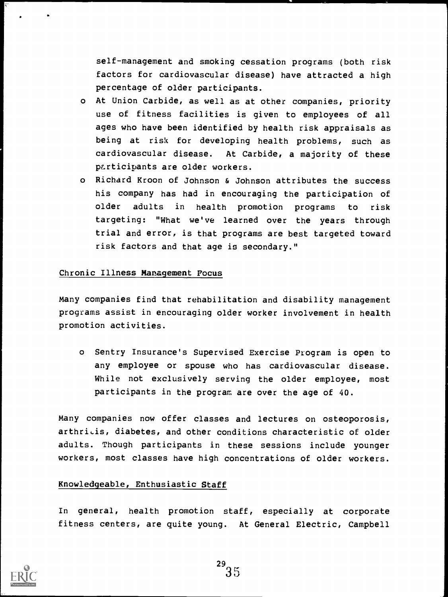self-management and smoking cessation programs (both risk factors for cardiovascular disease) have attracted a high percentage of older participants.

- o At Union Carbide, as well as at other companies, priority use of fitness facilities is given to employees of all ages who have been identified by health risk appraisals as being at risk for developing health problems, such as cardiovascular disease. At Carbide, a majority of these participants are older workers.
- o Richard Kroon of Johnson & Johnson attributes the success his company has had in encouraging the participation of older adults in health promotion programs to risk targeting: "What we've learned over the years through trial and error, is that programs are best targeted toward risk factors and that age is secondary."

#### Chronic Illness Management Focus

Many companies find that rehabilitation and disability management programs assist in encouraging older worker involvement in health promotion activities.

o Sentry Insurance's Supervised Exercise Program is open to any employee or spouse who has cardiovascular disease. While not exclusively serving the older employee, most participants in the program are over the age of 40.

Many companies now offer classes and lectures on osteoporosis, arthritis, diabetes, and other conditions characteristic of older adults. Though participants in these sessions include younger workers, most classes have high concentrations of older workers.

#### Knowledgeable, Enthusiastic Staff

In general, health promotion staff, especially at corporate fitness centers, are quite young. At General Electric, Campbell

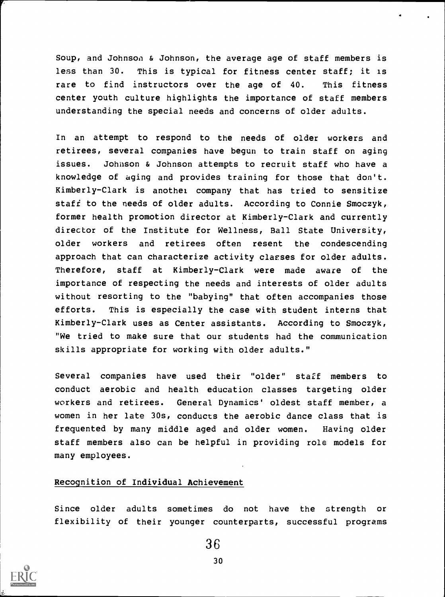Soup, and Johnson & Johnson, the average age of staff members is less than 30. This is typical for fitness center staff; it is rare to find instructors over the age of 40. This fitness center youth culture highlights the importance of staff members understanding the special needs and concerns of older adults.

In an attempt to respond to the needs of older workers and retirees, several companies have begun to train staff on aging issues. Johnson & Johnson attempts to recruit staff who have a knowledge of aging and provides training for those that don't. Kimberly-Clark is another company that has tried to sensitize staff to the needs of older adults. According to Connie Smoczyk, former health promotion director at Kimberly-Clark and currently director of the Institute for Wellness, Ball State University, older workers and retirees often resent the condescending approach that can characterize activity classes for older adults. Therefore, staff at Kimberly-Clark were made aware of the importance of respecting the needs and interests of older adults without resorting to the "babying" that often accompanies those efforts. This is especially the case with student interns that Kimberly-Clark uses as Center assistants. According to Smoczyk, "We tried to make sure that our students had the communication skills appropriate for working with older adults."

Several companies have used their "older" staff members to conduct aerobic and health education classes targeting older workers and retirees. General Dynamics' oldest staff member, a women in her late 30s, conducts the aerobic dance class that is frequented by many middle aged and older women. Having older staff members also can be helpful in providing role models for many employees.

#### Recognition of Individual Achievement

Since older adults sometimes do not have the strength or flexibility of their younger counterparts, successful programs

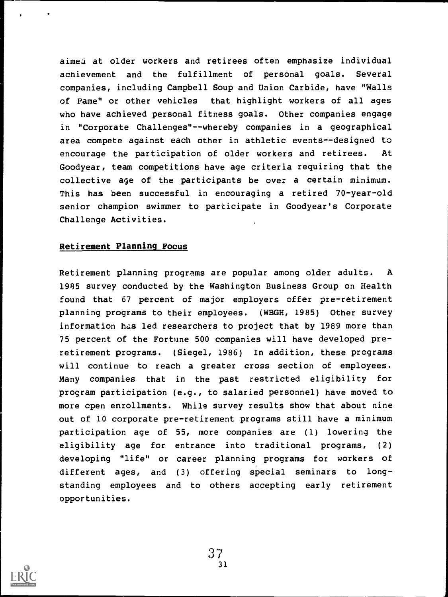aimed at older workers and retirees often emphasize individual acnievement and the fulfillment of personal goals. Several companies, including Campbell Soup and Union Carbide, have "Walls of Fame" or other vehicles that highlight workers of all ages who have achieved personal fitness goals. Other companies engage in "Corporate Challenges"--whereby companies in a geographical area compete against each other in athletic events--designed to encourage the participation of older workers and retirees. At Goodyear, team competitions have age criteria requiring that the collective age of the participants be over a certain minimum. This has been successful in encouraging a retired 70-year-old senior champion swimmer to participate in Goodyear's Corporate Challenge Activities.

#### Retirement Planning Focus

Retirement planning programs are popular among older adults. A 1985 survey conducted by the Washington Business Group on Health found that 67 percent of major employers offer pre-retirement planning programs to their employees. (WBGH, 1985) Other survey information has led researchers to project that by 1989 more than 75 percent of the Fortune 500 companies will have developed preretirement programs. (Siegel, 1986) In addition, these programs will continue to reach a greater cross section of employees. Many companies that in the past restricted eligibility for program participation (e.g., to salaried personnel) have moved to more open enrollments. While survey results show that about nine out of 10 corporate pre-retirement programs still have a minimum participation age of 55, more companies are (1) lowering the eligibility age for entrance into traditional programs, (2) developing "life" or career planning programs for workers of different ages, and (3) offering special seminars to longstanding employees and to others accepting early retirement opportunities.

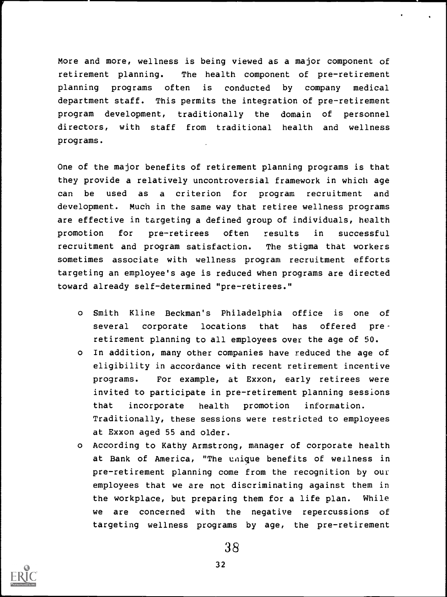More and more, wellness is being viewed as a major component of retirement planning. The health component of pre-retirement planning programs often is conducted by company medical department staff. This permits the integration of pre-retirement program development, traditionally the domain of personnel directors, with staff from traditional health and wellness programs.

One of the major benefits of retirement planning programs is that they provide a relatively uncontroversial framework in which age can be used as a criterion for program recruitment and development. Much in the same way that retiree wellness programs are effective in targeting a defined group of individuals, health promotion for pre-retirees often results in successful recruitment and program satisfaction. The stigma that workers sometimes associate with wellness program recruitment efforts targeting an employee's age is reduced when programs are directed toward already self-determined "pre-retirees."

- o Smith Kline Beckman's Philadelphia office is one of several corporate locations that has offered preretirement planning to all employees over the age of 50.
- o In addition, many other companies have reduced the age of eligibility in accordance with recent retirement incentive programs. For example, at Exxon, early retirees were invited to participate in pre-retirement planning sessions that incorporate health promotion information. Traditionally, these sessions were restricted to employees at Exxon aged 55 and older.
- o According to Kathy Armstrong, manager of corporate health at Bank of America, "The unique benefits of wellness in pre-retirement planning come from the recognition by our employees that we are not discriminating against them in the workplace, but preparing them for a life plan. While we are concerned with the negative repercussions of targeting wellness programs by age, the pre-retirement



**Property**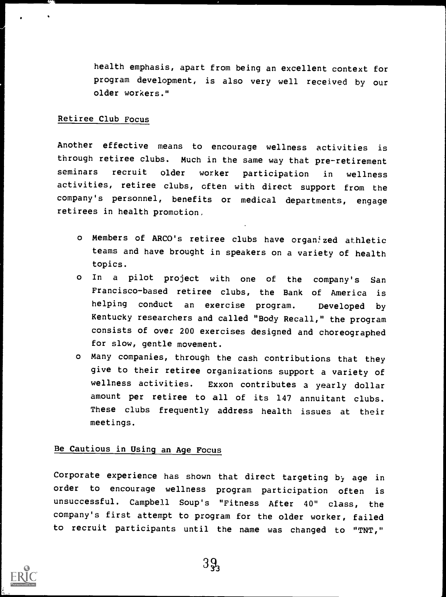health emphasis, apart from being an excellent context for program development, is also very well received by our older workers."

#### Retiree Club Focus

Another effective means to encourage wellness activities is through retiree clubs. Much in the same way that pre-retirement seminars recruit older worker participation in wellness activities, retiree clubs, often with direct support from the company's personnel, benefits or medical departments, engage retirees in health promotion.

- o Members of ARCO's retiree clubs have organized athletic teams and have brought in speakers on a variety of health topics.
- <sup>o</sup> In <sup>a</sup> pilot project with one of the company's San Francisco-based retiree clubs, the Bank of America is helping conduct an exercise program. Developed by Kentucky researchers and called "Body Recall," the program consists of over 200 exercises designed and choreographed for slow, gentle movement.
- o Many companies, through the cash contributions that they give to their retiree organizations support a variety of wellness activities. Exxon contributes a yearly dollar amount per retiree to all of its <sup>147</sup> annuitant clubs. These clubs frequently address health issues at their meetings.

## Be Cautious in Using an Age Focus

Corporate experience has shown that direct targeting by age in order to encourage wellness program participation often is unsuccessful. Campbell Soup's "Fitness After 40" class, the company's first attempt to program for the older worker, failed to recruit participants until the name was changed to "TNT,"

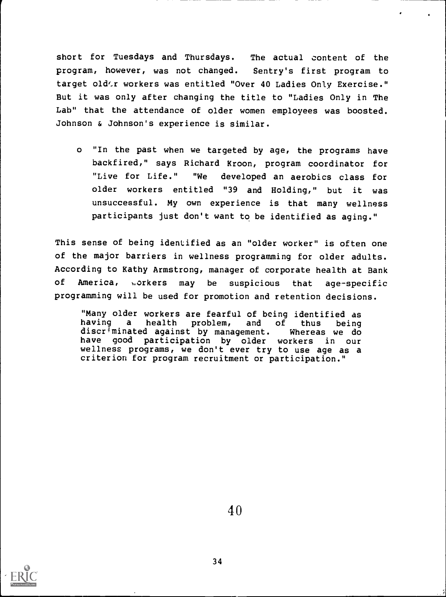short for Tuesdays and Thursdays. The actual content of the program, however, was not changed. Sentry's first program to target old'r workers was entitled "Over 40 Ladies Only Exercise." But it was only after changing the title to "Ladies Only in The Lab" that the attendance of older women employees was boosted. Johnson & Johnson's experience is similar.

o "In the past when we targeted by age, the programs have backfired," says Richard Kroon, program coordinator for "Live for Life." "We developed an aerobics class for older workers entitled "39 and Holding," but it was unsuccessful. My own experience is that many wellness participants just don't want to be identified as aging."

This sense of being identified as an "older worker" is often one of the major barriers in wellness programming for older adults. According to Kathy Armstrong, manager of corporate health at Bank of America, ,.orkers may be suspicious that age-specific programming will be used for promotion and retention decisions.

"Many older workers are fearful of being identified as<br>having a health problem, and of thus being having a health problem, and of thus being discriminated against by management. Whereas we do have good participation by older workers in our wellness programs, we don't ever try to use age as a criterion for program recruitment or participation."

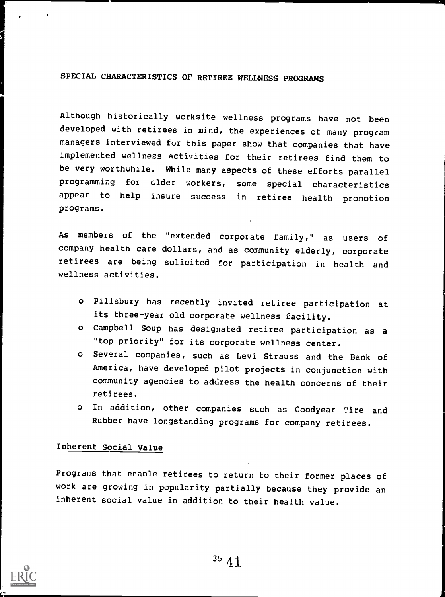## SPECIAL CHARACTERISTICS OF RETIREE WELLNESS PROGRAMS

Although historically worksite wellness programs have not been developed with retirees in mind, the experiences of many program managers interviewed fur this paper show that companies that have implemented wellness activities for their retirees find them to be very worthwhile. While many aspects of these efforts parallel programming for clder workers, some special characteristics appear to help insure success in retiree health promotion programs.

As members of the "extended corporate family," as users of company health care dollars, and as community elderly, corporate retirees are being solicited for participation in health and wellness activities.

- <sup>o</sup> Pillsbury has recently invited retiree participation at its three-year old corporate wellness facility.
- <sup>o</sup> Campbell Soup has designated retiree participation as a "top priority" for its corporate wellness center.
- <sup>o</sup> Several companies, such as Levi Strauss and the Bank of America, have developed pilot projects in conjunction with community agencies to address the health concerns of their retirees.
- <sup>o</sup> In addition, other companies such as Goodyear Tire and Rubber have longstanding programs for company retirees.

#### Inherent Social Value

Programs that enable retirees to return to their former places of work are growing in popularity partially because they provide an inherent social value in addition to their health value.

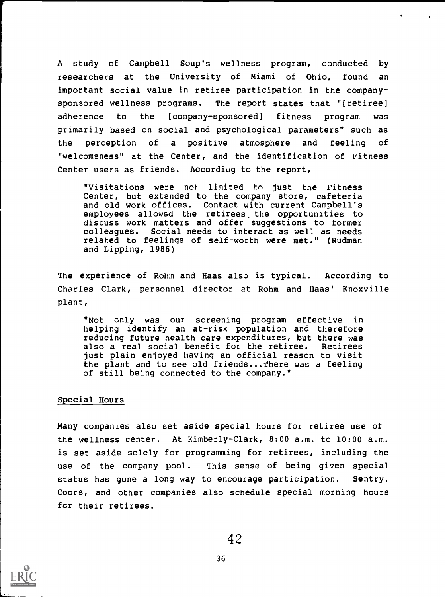A study of Campbell Soup's wellness program, conducted by researchers at the University of Miami of Ohio, found an important social value in retiree participation in the companysponsored wellness programs. The report states that "[retiree] adherence to the [company- sponsored] fitness program was primarily based on social and psychological parameters" such as the perception of a positive atmosphere and feeling of "welcomeness" at the Center, and the identification of Fitness Center users as friends. According to the report,

"Visitations were not limited to just the Fitness Center, but extended to the company store, cafeteria and old work offices. Contact with current Campbell's employees allowed the retirees the opportunities to discuss work matters and offer suggestions to former colleagues. Social needs to interact as well as needs related to feelings of self-worth were met." (Rudman and Lipping, 1986)

The experience of Rohm and Haas also is typical. According to Charles Clark, personnel director at Rohm and Haas' Knoxville plant,

"Not only was our screening program effective in helping identify an at-risk population and therefore reducing future health care expenditures, but there was also a real social benefit for the retiree. Retirees just plain enjoyed having an official reason to visit the plant and to see old friends...There was a feeling of still being connected to the company."

#### Special Hours

Many companies also set aside special hours for retiree use of the wellness center. At Kimberly-Clark, 8:00 a.m. to 10:00 a.m. is set aside solely for programming for retirees, including the use of the company pool. This sense of being given special status has gone a long way to encourage participation. Sentry, Coors, and other companies also schedule special morning hours for their retirees.

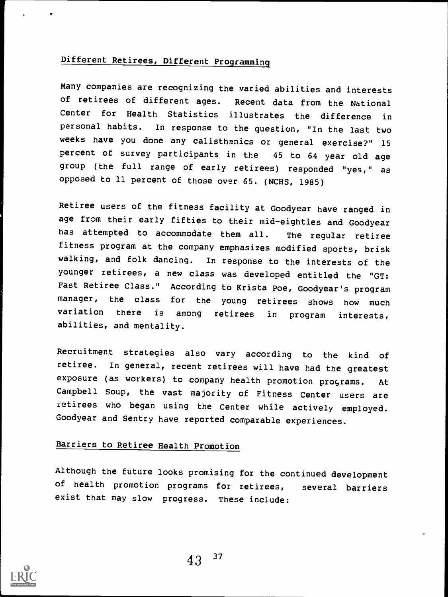## Different Retirees, Different Programming

Many companies are recognizing the varied abilities and interests<br>of retirees of different ages. Recent data from the National Recent data from the National Center for Health Statistics illustrates the difference in personal habits. In response to the question, "In the last two weeks have you done any calisthenics or general exercise?" <sup>15</sup> percent of survey participants in the 45 to 64 year old age group (the full range of early retirees) responded "yes," as opposed to 11 percent of those over 65. (NCHS, 1985)

Retiree users of the fitness facility at Goodyear have ranged in age from their early fifties to their mid-eighties and Goodyear has attempted to accommodate them all. The regular retiree fitness program at the company emphasizes modified sports, brisk walking, and folk dancing. In response to the interests of the younger retirees, a new class was developed entitled the "GT: Fast Retiree Class." According to Krista Poe, Goodyear's program manager, the class for the young retirees shows how much variation there is among retirees in program interests, abilities, and mentality.

Recruitment strategies also vary according to the kind of retiree. In general, recent retirees will have had the greatest exposure (as workers) to company health promotion programs. At Campbell Soup, the vast majority of Fitness Center users are retirees who began using the Center while actively employed. Goodyear and Sentry have reported comparable experiences.

## Barriers to Retiree Health Promotion

Although the future looks promising for the continued development of health promotion programs for retirees, several barriers exist that may slow progress. These include:

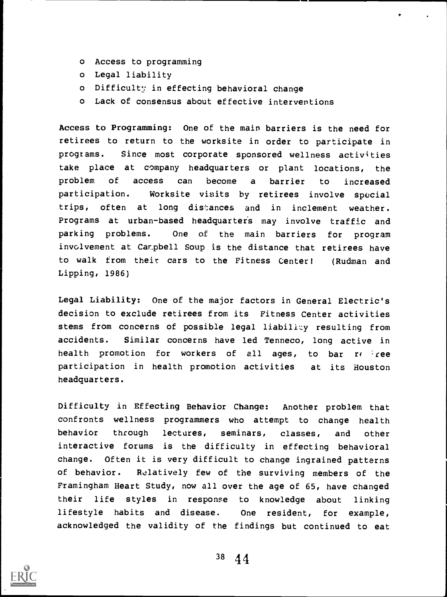- o Access to programming
- o Legal liability
- o Difficulty in effecting behavioral change
- o Lack of consensus about effective interventions

Access to Programming: One of the main barriers is the need for retirees to return to the worksite in order to participate in programs. Since most corporate sponsored wellness activities take place at company headquarters or plant locations, the problem of access can become a barrier to increased participation. Worksite visits by retirees involve special trips, often at long distances and in inclement weather. Programs at urban-based headquarters may involve traffic and parking problems. One of the main barriers for program involvement at Car.pbell Soup is the distance that retirees have to walk from their cars to the Fitness Center! (Rudman and Lipping, 1986)

Legal Liability: One of the major factors in General Electric's decision to exclude retirees from its Fitness Center activities stems from concerns of possible legal liability resulting from accidents. Similar concerns have led Tenneco, long active in health promotion for workers of all ages, to bar re free participation in health promotion activities at its Houston headquarters.

Difficulty in Effecting Behavior Change: Another problem that confronts wellness programmers who attempt to change health behavior through lectures, seminars, classes, and other interactive forums is the difficulty in effecting behavioral change. Often it is very difficult to change ingrained patterns of behavior. Relatively few of the surviving members of the Framingham Heart Study, now all over the age of 65, have changed their life styles in response to knowledge about linking lifestyle habits and disease. One resident, for example, acknowledged the validity of the findings but continued to eat

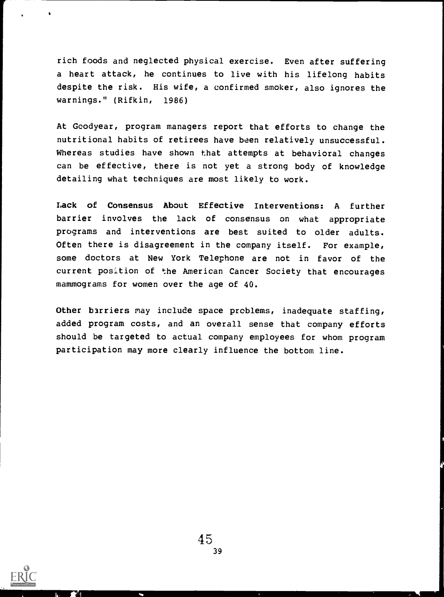rich foods and neglected physical exercise. Even after suffering a heart attack, he continues to live with his lifelong habits despite the risk. His wife, a confirmed smoker, also ignores the warnings." (Rifkin, 1986)

At Goodyear, program managers report that efforts to change the nutritional habits of retirees have been relatively unsuccessful. Whereas studies have shown that attempts at behavioral changes can be effective, there is not yet a strong body of knowledge detailing what techniques are most likely to work.

Lack of Consensus About Effective Interventions: A further barrier involves the lack of consensus on what appropriate programs and interventions are best suited to older adults. Often there is disagreement in the company itself. For example, some doctors at New York Telephone are not in favor of the current position of the American Cancer Society that encourages mammograms for women over the age of 40.

Other barriers may include space problems, inadequate staffing, added program costs, and an overall sense that company efforts should be targeted to actual company employees for whom program participation may more clearly influence the bottom line.

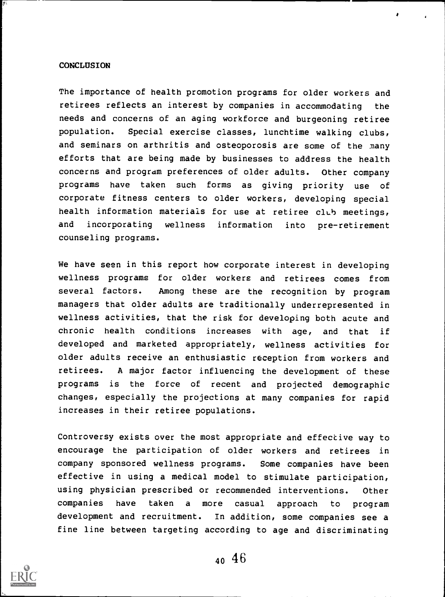#### **CONCLUSION**

The importance of health promotion programs for older workers and retirees reflects an interest by companies in accommodating the needs and concerns of an aging workforce and burgeoning retiree population. Special exercise classes, lunchtime walking clubs, and seminars on arthritis and osteoporosis are some of the many efforts that are being made by businesses to address the health concerns and program preferences of older adults. Other company programs have taken such forms as giving priority use of corporate fitness centers to older workers, developing special health information materials for use at retiree club meetings, and incorporating wellness information into pre-retirement counseling programs.

\*

We have seen in this report how corporate interest in developing wellness programs for older workers and retirees comes from several factors. Among these are the recognition by program managers that older adults are traditionally underrepresented in wellness activities, that the risk for developing both acute and chronic health conditions increases with age, and that if developed and marketed appropriately, wellness activities for older adults receive an enthusiastic reception from workers and retirees. A major factor influencing the development of these programs is the force of recent and projected demographic changes, especially the projections at many companies for rapid increases in their retiree populations.

Controversy exists over the most appropriate and effective way to encourage the participation of older workers and retirees in company sponsored wellness programs. Some companies have been effective in using a medical model to stimulate participation, using physician prescribed or recommended interventions. Other companies have taken a more casual approach to program development and recruitment. In addition, some companies see a fine line between targeting according to age and discriminating

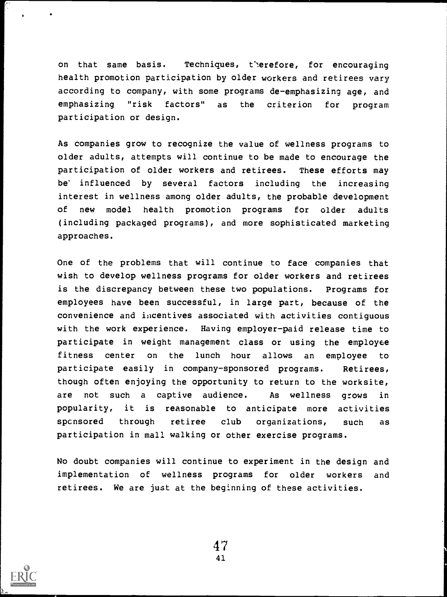on that same basis. Techniques, therefore, for encouraging health promotion participation by older workers and retirees vary according to company, with some programs de-emphasizing age, and emphasizing "risk factors" as the criterion for program participation or design.

As companies grow to recognize the value of wellness programs to older adults, attempts will continue to be made to encourage the participation of older workers and retirees. These efforts may be influenced by several factors including the increasing interest in wellness among older adults, the probable development of new model health promotion programs for older adults (including packaged programs), and more sophisticated marketing approaches.

One of the problems that will continue to face companies that wish to develop wellness programs for older workers and retirees is the discrepancy between these two populations. Programs for employees have been successful, in large part, because of the convenience and incentives associated with activities contiguous with the work experience. Having employer-paid release time to participate in weight management class or using the employee fitness center on the lunch hour allows an employee to participate easily in company-sponsored programs. Retirees, though often enjoying the opportunity to return to the worksite, are not such a captive audience. As wellness grows in popularity, it is reasonable to anticipate more activities spcnsored through retiree club organizations, such as participation in mall walking or other exercise programs.

No doubt companies will continue to experiment in the design and implementation of wellness programs for older workers and retirees. We are just at the beginning of these activities.

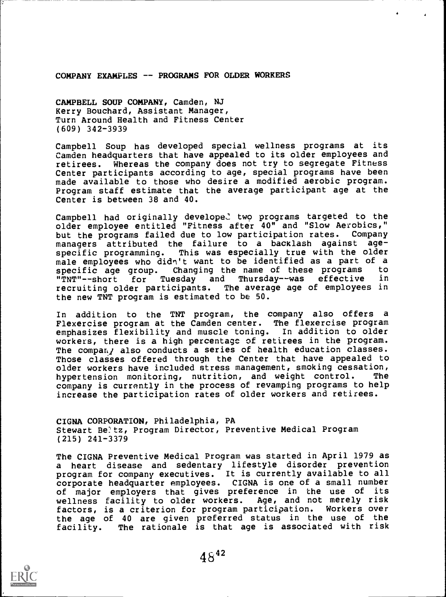COMPANY EXAMPLES -- PROGRAMS FOR OLDER WORKERS

CAMPBELL SOUP COMPANY, Camden, NJ Kerry Bouchard, Assistant Manager, Turn Around Health and Fitness Center (609) 342-3939

Campbell Soup has developed special wellness programs at its Camden headquarters that have appealed to its older employees and retirees. Whereas the company does not try to segregate Fitness Center participants according to age, special programs have been made available to those who desire a modified aerobic program. Program staff estimate that the average participant age at the Center is between 38 and 40.

Campbell had originally developed two programs targeted to the older employee entitled "Fitness after 40" and "Slow Aerobics,"<br>but the programs failed due to low participation rates. Company but the programs failed due to low participation rates. Company<br>managers, attributed, the failure, to a backlash against agemanagers attributed the failure to a backlash against<br>specific programming. This was especially true with the This was especially true with the older male employees who didn't want to be identified as a part of a<br>specific age group. Changing the name of these programs to specific age group. Changing the name of these programs to<br>"TNT"--short for Tuesday and Thursday--was effective in Tuesday and Thursday--was effective in<br>rticipants. The average age of employees in recruiting older participants. the new TNT program is estimated to be 50.

In addition to the TNT program, the company also offers a Flexercise program at the Camden center. The flexercise program emphasizes flexibility and muscle toning. In addition to older workers, there is a high percentage of retirees in the program. The compan; also conducts a series of health education classes. Those classes offered through the Center that have appealed to older workers have included stress management, smoking cessation,<br>hypertension monitoring, nutrition, and weight control. The hypertension monitoring, nutrition, and weight control. company is currently in the process of revamping programs to help increase the participation rates of older workers and retirees.

CIGNA CORPORATION, Philadelphia, PA Stewart Beltz, Program Director, Preventive Medical Program (215) 241-3379

The CIGNA Preventive Medical Program was started in April 1979 as <sup>a</sup> heart disease and sedentary lifestyle disorder prevention program for company executives. It is currently available to all corporate headquarter employees. CIGNA is one of a small number of major employers that gives preference in the use of its wellness facility to older workers. Age, and not merely risk factors, is a criterion for program participation. Workers over the age of 40 are given preferred status in the use of the<br>facility. The rationale is that age is associated with risk The rationale is that age is associated with risk

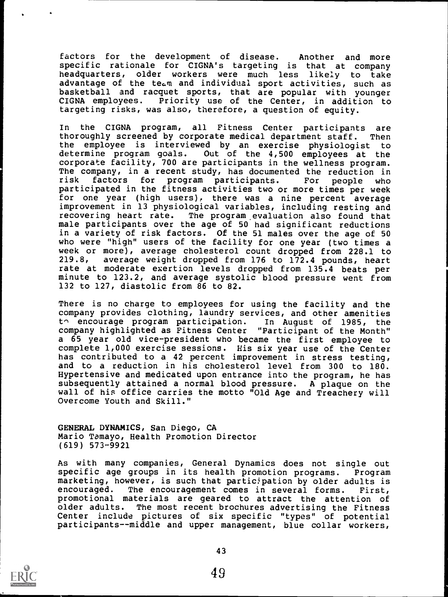factors for the development of disease. Another and more specific rationale for CIGNA's targeting is that at company headquarters, older workers were much less likely to take advantage of the team and individual sport activities, such as basketball and racquet sports, that are popular with younger<br>CIGNA employees. Priority use of the Center, in addition to Priority use of the Center, in addition to targeting risks, was also, therefore, a question of equity.

In the CIGNA program, all Fitness Center participants are thoroughly screened by corporate medical department staff. Then the employee is interviewed by an exercise physiologist to determine program goals. Out of the 4,500 employees at the corporate facility, 700 are participants in the wellness program. The company, in a recent study, has documented the reduction in<br>risk factors for program participants. For people who factors for program participants. For people who participated in the fitness activities two or more times per week for one year (high users), there was a nine percent average improvement in 13 physiological variables, including resting and recovering heart rate. The program. evaluation also found that male participants over the age of 50 had significant reductions in a variety of risk factors. Of the 51 males over the age of 50 who were "high" users of the facility for one year (two times a week or more), average cholesterol count dropped from 228.1 to 219.8, average weight dropped from 176 to 172.4 pounds, heart rate at moderate exertion levels dropped from 135.4 beats per minute to 123.2, and average systolic blood pressure went from 132 to 127, diastolic from 86 to 82.

There is no charge to employees for using the facility and the company provides clothing, laundry services, and other amenities<br>to encourage program participation. In August of 1985, the  $t \cap$  encourage program participation. company highlighted as Fitness Center "Participant of the Month" a 65 year old vice-president who became the first employee to complete 1,000 exercise sessions. His six year use of the Center has contributed to a 42 percent improvement in stress testing, and to a reduction in his cholesterol level from 300 to 180. Hypertensive and medicated upon entrance into the program, he has subsequently attained a normal blood pressure. A plaque on the wall of his office carries the motto "Old Age and Treachery will Overcome Youth and Skill."

GENERAL DYNAMICS, San Diego, CA Mario Tamayo, Health Promotion Director (619) 573-9921

As with many companies, General Dynamics does not single out specific age groups in its health promotion programs. Program marketing, however, is such that participation by older adults is encouraged. The encouragement comes in several forms. First, promotional materials are geared to attract the attention of older adults. The most recent brochures advertising the Fitness Center include pictures of six specific "types" of potential participants--middle and upper management, blue collar workers,

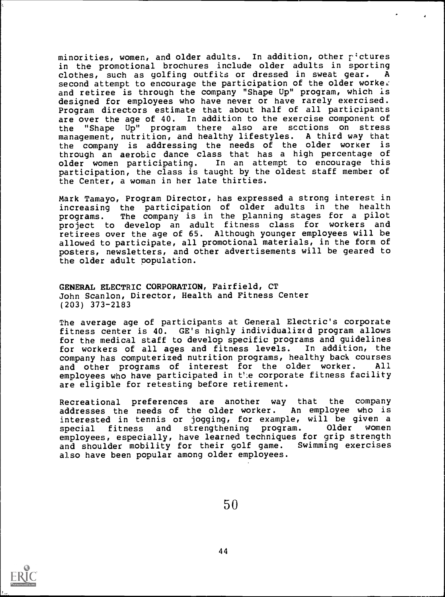minorities, women, and older adults. In addition, other r'ctures in the promotional brochures include older adults in sporting<br>clothes, such as golfing outfits or dressed in sweat gear. A clothes, such as golfing outfits or dressed in sweat gear. second attempt to encourage the participation of the older worker and retiree is through the company "Shape Up" program, which is designed for employees who have never or have rarely exercised. Program directors estimate that about half of all participants are over the age of 40. In addition to the exercise component of the "Shape Up" program there also are scctions on stress management, nutrition, and healthy lifestyles. A third way that the company is addressing the needs of the older worker is through an aerobic dance class that has a high percentage of older women participating. In an attempt to encourage this participation, the class is taught by the oldest staff member of the Center, a woman in her late thirties.

Mark Tamayo, Program Director, has expressed a strong interest in increasing the participation of older adults in the health programs. The company is in the planning stages for a pilot project to develop an adult fitness class for workers and retirees over the age of 65. Although younger employees will be allowed to participate, all promotional materials, in the form of posters, newsletters, and other advertisements will be geared to the older adult population.

GENERAL ELECTRIC CORPORATION, Fairfield, CT John Scanlon, Director, Health and Fitness Center (203) 373-2183

The average age of participants at General Electric's corporate fitness center is 40. GE's highly individualizcd program allows for the medical staff to develop specific programs and guidelines for workers of all ages and fitness levels. In addition, the company has computerized nutrition programs, healthy back courses and other programs of interest for the older worker. All employees who have participated in t'.e corporate fitness facility are eligible for retesting before retirement.

Recreational preferences are another way that the company addresses the needs of the older worker. An employee who is interested in tennis or jogging, for example, will be given a special fitness and strengthening program. employees, especially, have learned techniques for grip strength and shoulder mobility for their golf game. Swimming exercises also have been popular among older employees.

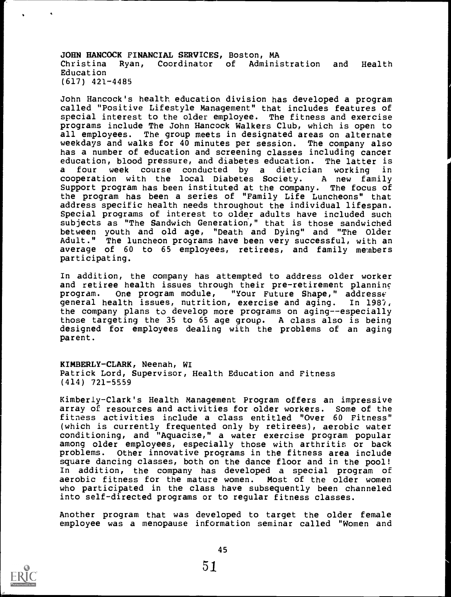JOHN HANCOCK FINANCIAL SERVICES, Boston, MA Christina Ryan, Coordinator of Administration and Health Education (617) 421-4485

John Hancock's health education division has developed a program called "Positive Lifestyle Management" that includes features of special interest to the older employee. The fitness and exercise programs include The John Hancock Walkers Club, which is open to all employees. The group meets in designated areas on alternate weekdays and walks for 40 minutes per session. The company also has a number of education and screening classes including cancer education, blood pressure, and diabetes education. The latter is a four week course conducted by a dietician working in cooperation with the local Diabetes Society. A new family cooperation with the local Diabetes Society. Support program has been instituted at the company. The focus of the program has been a series of "Family Life Luncheons" that address specific health needs throughout the individual lifespan. Special programs of interest to older adults have included such subjects as "The Sandwich Generation," that is those sandwiched between youth and old age, "Death and Dying" and "The Older Adult." The luncheon programs have been very successful, with an average of 60 to 65 employees, retirees, and family members participating.

In addition, the company has attempted to address older worker and retiree health issues through their pre-retirement planning  $\mathsf{program.}\qquad$  One  $\mathsf{program}\ \mathsf{module}$ , "Your Future Shape," address $\epsilon$ general health issues, nutrition, exercise and aging. In 1981, the company plans to develop more programs on aging--especially those targeting the 35 to 65 age group. A class also is being designed for employees dealing with the problems of an aging parent.

KIMBERLY-CLARK, Neenah, WI Patrick Lord, Supervisor, Health Education and Fitness (414) 721-5559

Kimberly-Clark's Health Management Program offers an impressive array of resources and activities for older workers. Some of the fitness activities include a class entitled "Over 60 Fitness" (which is currently frequented only by retirees), aerobic water conditioning, and "Aquacize," a water exercise program popular among older employees, especially those with arthritis or back problems. Other innovative programs in the fitness area include square dancing classes, both on the dance floor and in the pool! In addition, the company has developed a special program of aerobic fitness for the mature women. Most of the older women who participated in the class have subsequently been channeled into self-directed programs or to regular fitness classes.

Another program that was developed to target the older female employee was a menopause information seminar called "Women and

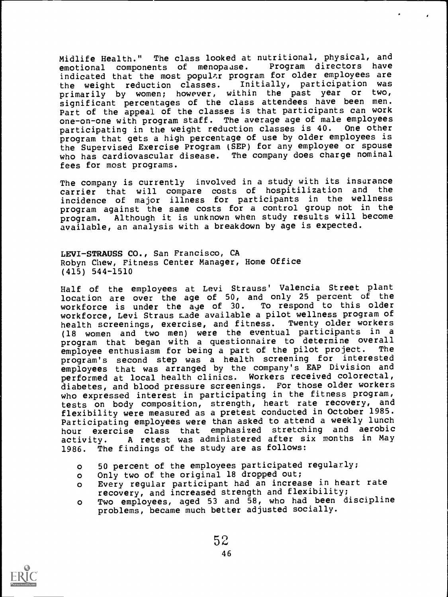Midlife Health." The class looked at nutritional, physical, and<br>emotional components of menopause. Program directors have emotional components of menopause. indicated that the most popular program for older employees are<br>the weight reduction classes. Initially, participation was the weight reduction classes. primarily by women; however, within the past year or two, significant percentages of the class attendees have been men. Part of the appeal of the classes is that participants can work one-on-one with program staff. The average age of male employees participating in the weight reduction classes is 40. One other program that gets a high percentage of use by older employees is the Supervised Exercise Program (SEP) for any employee or spouse who has cardiovascular disease. The company does charge nominal fees for most programs.

The company is currently involved in a study with its insurance carrier that will compare costs of hospitilization and the incidence of major illness for participants in the wellness program against the same costs for a control group not in the program. Although it is unknown when study results will become available, an analysis with a breakdown by age is expected.

LEVI-STRAUSS CO., San Francisco, CA Robyn Chew, Fitness Center Manager, Home Office (415) 544-1510

Half of the employees at Levi Strauss' Valencia Street plant location are over the age of 50, and only 25 percent of the workforce is under the age of 30. To respond to this older workforce, Levi Straus r.ade available a pilot wellness program of health screenings, exercise, and fitness. Twenty older workers (18 women and two men) were the eventual participants in a program that began with a questionnaire to determine overall<br>employee enthusiasm for being a part of the pilot project. The employee enthusiasm for being a part of the pilot project. program's second step was <sup>a</sup> health screening for interested employees that was arranged by the company's EAP Division and performed at local health clinics. Workers received colorectal, diabetes, and blood pressure screenings. For those older workers who expressed interest in participating in the fitness program, tests on body composition, strength, heart rate recovery, and flexibility were measured as a pretest conducted in October 1985. Participating employees were than asked to attend a weekly lunch hour exercise class that emphasized stretching and aerobic activity. A retest was administered after six months in May 1986. The findings of the study are as follows:

- o 50 percent of the employees participated regularly;
- o Only two of the original 18 dropped out;
- o Every regular participant had an increase in heart rate recovery, and increased strength and flexibility;
- <sup>o</sup> Two employees, aged 53 and 58, who had been discipline problems, became much better adjusted socially.

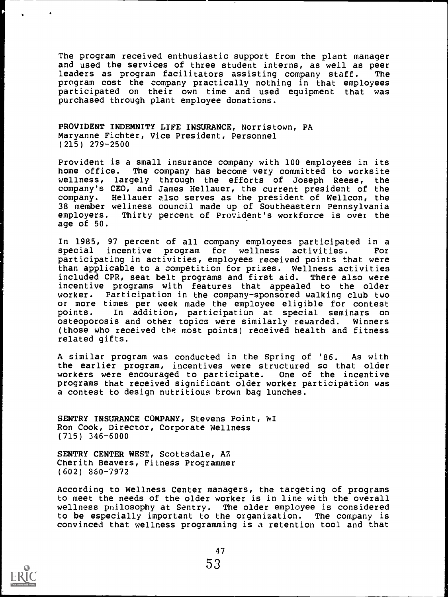The program received enthusiastic support from the plant manager and used the services of three student interns, as well as peer leaders as program facilitators assisting company staff. The program cost the company practically nothing in that employees participated on their own time and used equipment that was purchased through plant employee donations.

PROVIDENT INDEMNITY LIFE INSURANCE, Norristown, PA Maryanne Fichter, Vice President, Personnel (215) 279-2500

Provident is a small insurance company with 100 employees in its home office. The company has become very committed to worksite wellness, largely through the efforts of Joseph Reese, the company's CEO, and James Hellauer, the current president of the company. Hellauer also serves as the president of Wellcon, the 38 member wellness council made up of Southeastern Pennsylvania employers. Thirty percent of Provident's workforce is over the age of 50.

In 1985, 97 percent of all company employees participated in a special incentive program for wellness activities. For participating in activities, employees received points that were than applicable to a competition for prizes. Wellness activities included CPR, seat belt programs and first aid. There also were incentive programs with features that appealed to the older worker. Participation in the company-sponsored walking club two or more times per week made the employee eligible for contest points. In addition, participation at special seminars on osteoporosis and other topics were similarly rewarded. Winners (those who received the most points) received health and fitness related gifts.

A similar program was conducted in the Spring of '86. As with the earlier program, incentives were structured so that older workers were encouraged to participate. One of the incentive programs that received significant older worker participation was a contest to design nutritious brown bag lunches.

SENTRY INSURANCE COMPANY, Stevens Point, WI Ron Cook, Director, Corporate Wellness (715) 346-6000

SENTRY CENTER WEST, Scottsdale, AZ Cherith Beavers, Fitness Programmer (602) 860-7972

According to Wellness Center managers, the targeting of programs to meet the needs of the older worker is in line with the overall wellness pnilosophy at Sentry. The older employee is considered to be especially important to the organization. The company is convinced that wellness programming is a retention tool and that

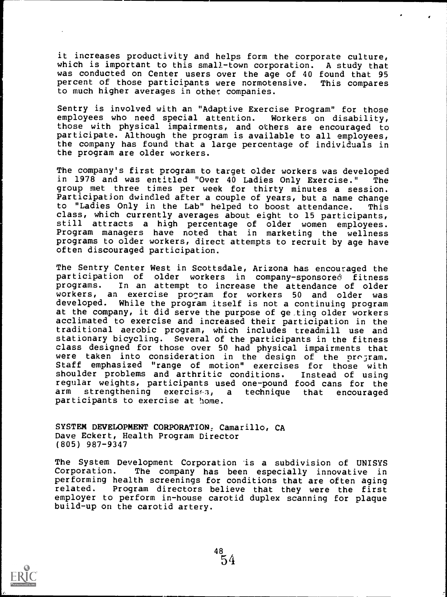it increases productivity and helps form the corporate culture, which is important to this small-town corporation. A study that was conducted on Center users over the age of 40 found that 95 percent of those participants were normotensive. This compares to much higher averages in other companies.

Sentry is involved with an "Adaptive Exercise Program" for those employees who need special attention. Workers on disability, those with physical impairments, and others are encouraged to participate. Although the program is available to all employees, the company has found that a large percentage of individuals in the program are older workers.

The company's first program to target older workers was developed in 1978 and was entitled "Over 40 Ladies Only Exercise." The group met three times per week for thirty minutes a session. Participation dwindled after a couple of years, but a name change to "Ladies Only in the Lab" helped to boost attendance. This class, which currently averages about eight to 15 participants, still attracts a high percentage of older women employees. Program managers have noted that in marketing the wellness programs to older workers, direct attempts to recruit by age have often discouraged participation.

The Sentry Center West in Scottsdale, Arizona has encouraged the participation of older workers in company-sponsored fitness In an attempt to increase the attendance of older workers, an exercise program for workers 50 and older was developed. While the program itself is not a continuing program at the company, it did serve the purpose of ge,ting older workers acclimated to exercise and increased their participation in the traditional aerobic program, which includes treadmill use and stationary bicycling. Several of the participants in the fitness class designed for those over 50 had physical impairments that were taken into consideration in the design of the program. Staff emphasized "range of motion" exercises for those with shoulder problems and arthritic conditions. Instead of using regular weights, participants used one-pound food cans for the strengthening exercises, a technique that encouraged participants to exercise at home.

SYSTEM DEVELOPMENT CORPORATION, Camarillo, CA Dave Eckert, Health Program Director (805) 987-9347

The System Development Corporation is a subdivision of UNISYS<br>Corporation. The company has been especially innovative in The company has been especially innovative in performing health screenings for conditions that are often aging related. Program directors believe that they were the first employer to perform in-house carotid duplex scanning for plaque build-up on the carotid artery.

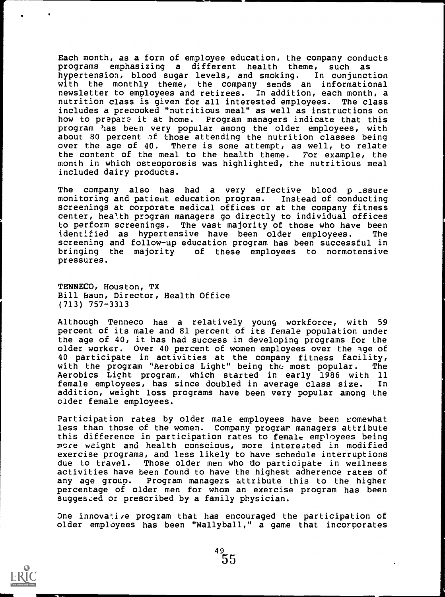Each month, as a form of employee education, the company conducts programs emphasizing a different health theme, such as<br>hypertension, blood sugar levels, and smoking. In conjunction hypertension, blood sugar levels, and smoking. with the monthly theme, the company sends an informational newsletter to employees and retirees. In addition, each month, a nutrition class is given for all interested employees. The class includes a precooked "nutritious meal" as well as instructions on how to prepare it at home. Program managers indicate that this program has been very popular among the older employees, with about 80 percent of those attending the nutrition classes being over the age of  $40$ . There is some attempt, as well, to relate There is some attempt, as well, to relate the content of the meal to the health theme. For example, the month in which osteoporosis was highlighted, the nutritious meal included dairy products.

The company also has had a very effective blood p ssure monitoring and patient education program. Instead of conducting screenings at corporate medical offices or at the company fitness center, heal.th program managers go directly to individual offices to perform screenings. The vast majority of those who have been identified as hypertensive have been older employees. The screening and follow-up education program has been successful in bringing the majority of these employees to normotensive pressures.

TENNECO, Houston, TX Bill Baun, Director, Health Office (713) 757-3313

Although Tenneco has a relatively young workforce, with 59 percent of its male and 81 percent of its female population under the age of 40, it has had success in developing programs for the older worker. Over 40 percent of women employees over the age of 40 participate in activities at the company fitness facility, with the program "Aerobics Light" being th $c$  most popular. The Aerobics Light program, which started in early 1986 with 11 female employees, has since doubled in average class size. In addition, weight loss programs have been very popular among the older female employees.

Participation rates by older male employees have been somewhat less than those of the women. Company program managers attribute this difference in participation rates to female employees being more weight and health conscious, more interested in modified exercise programs, and less likely to have schedule interruptions due to travel. Those older men who do participate in wellness activities have been found to have the highest adherence rates of<br>any age group. Program managers attribute this to the higher Program managers attribute this to the higher percentage of older men for whom an exercise program has been suggested or prescribed by a family physician.

One innovative program that has encouraged the participation of older employees has been "Wallyball," a game that incorporates

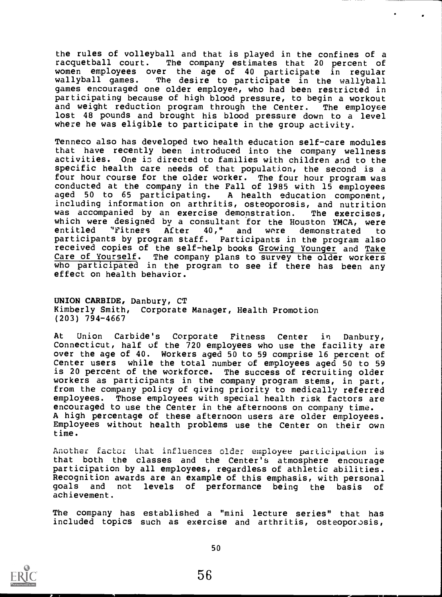the rules of volleyball and that is played in the confines of a racquetball court. The company estimates that 20 percent of women employees over the age of 40 participate in regular<br>wallyball games. The desire to participate in the wallyball The desire to participate in the wallyball games encouraged one older employee, who had been restricted in participating because of high blood pressure, to begin a workout and weight reduction program through the Center. The employee lost 48 pounds and brought his blood pressure down to a level where he was eligible to participate in the group activity.

Tenneco also has developed two health education self-care modules that have recently been introduced into the company wellness activities. One is directed to families with children and to the specific health care needs of that population, the second is a four hour course for the older worker. The four hour program was conducted at the company in the Fall of 1985 with 15 employees aged 50 to 65 participating. A health education component, including information on arthritis, osteoporosis, and nutrition was accompanied by an exercise demonstration. The exercises, which were designed by a consultant for the Houston YMCA, were<br>entitled "Fitness After 40." and were demonstrated to "Fitness After 40," and were demonstrated to participants by program staff. Participants in the program also received copies of the self-help books Growing Younger and Take Care of Yourself. The company plans to survey the older workers who participated in the program to see if there has been any effect on health behavior.

UNION CARBIDE, Danbury, CT Kimberly Smith, Corporate Manager, Health Promotion (203) 794-4667

At Union Carbide's Corporate Fitness Center in Danbury, Connecticut, half of the 720 employees who use the facility are over the age of 40. Workers aged 50 to 59 comprise 16 percent of Center users while the total number of employees aged 50 to 59 is 20 percent of the workforce. The success of recruiting older workers as participants in the company program stems, in part, from the company policy of giving priority to medically referred employees. Those employees with special health risk factors are encouraged to use the Center in the afternoons on company time. A high percentage of these afternoon users are older employees. Employees without health problems use the Center on their own time.

Another factor that influences older employee participation is that both the classes and the Center's atmosphere encourage participation by all employees, regardless of athletic abilities. Recognition awards are an example of this emphasis, with personal goals and not levels of performance being the basis of achievement.

The company has established a "mini lecture series" that has included topics such as exercise and arthritis, osteoporosis,

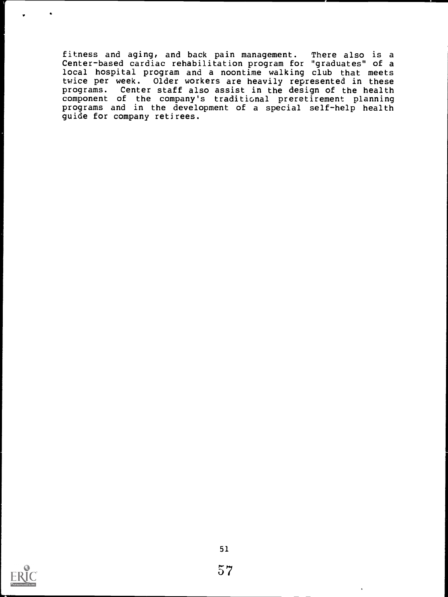fitness and aging, and back pain management. There also is a<br>Center-based cardiac rehabilitation program for "graduates" of a local hospital program and a noontime walking club that meets twice per week. Older workers are heavily represented in these programs. Center staff also assist in the design of the health component of the company's traditional preretirement planning programs and in the development of a special self-help health guide for company retirees.



.

 $\bullet$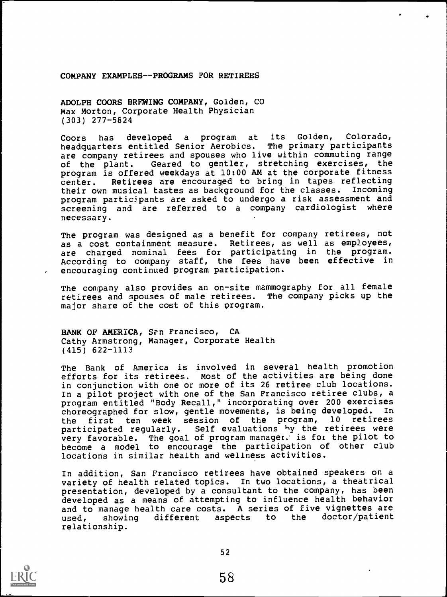COMPANY EXAMPLES--PROGRAMS FOR RETIREES

ADOLPH COORS BREWING COMPANY, Golden, CO Max Morton, Corporate Health Physician (303) 277-5824

Coors has developed a program at its Golden, Colorado,<br>headquarters entitled Senior Aerobics. The primary participants headquarters entitled Senior Aerobics. are company retirees and spouses who live within commuting range of the plant. Geared to gentler, stretching exercises, the program is offered weekdays at 10:00 AM at the corporate fitness center. Retirees are encouraged to bring in tapes reflecting their own musical tastes as background for the classes. Incoming program participants are asked to undergo a risk assessment and screening and are referred to <sup>a</sup> company cardiologist where necessary.

The program was designed as a benefit for company retirees, not as a cost containment measure. Retirees, as well as employees, are charged nominal fees for participating in the program. According to company staff, the fees have been effective in encouraging continued program participation.

The company also provides an on-site mammography for all female retirees and spouses of male retirees. The company picks up the major share of the cost of this program.

BANK OF AMERICA, San Francisco, CA Cathy Armstrong, Manager, Corporate Health (415) 622-1113

The Bank of America is involved in several health promotion efforts for its retirees. Most of the activities are being done in conjunction with one or more of its 26 retiree club locations. In a pilot project with one of the San Francisco retiree clubs, a program entitled "Body Recall," incorporating over 200 exercises choreographed for slow, gentle movements, is being developed. the first ten week session of the program, 10 retirees participated regularly. Self evaluations by the retirees were very favorable. The goal of program manager. is fot the pilot to become <sup>a</sup> model to encourage the participation of other club locations in similar health and wellness activities.

In addition, San Francisco retirees have obtained speakers on a variety of health related topics. In two locations, a theatrical presentation, developed by a consultant to the company, has been developed as a means of attempting to influence health behavior and to manage health care costs. A series of five vignettes are used, showing different aspects to the doctor/patient relationship.

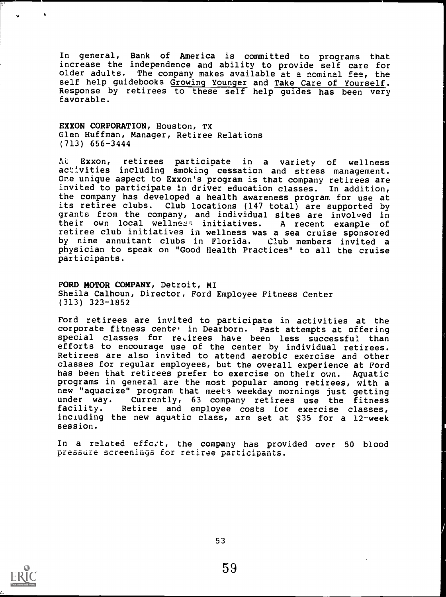In general, Bank of America is committed to programs that increase the independence and ability to provide self care for older adults. The company makes available at a nominal fee, the self help guidebooks <u>Growing Younger</u> and <u>Take Care of Yourself</u>. Response by retirees to these self help guides has been very favorable.

EXXON CORPORATION, Houston, TX Glen Huffman, Manager, Retiree Relations (713) 656-3444

At Exxon, retirees participate in a variety of wellness activities including smoking cessation and stress management. One unique aspect to Exxon's program is that company retirees are invited to participate in driver education classes. In addition, the company has developed a health awareness program for use at its retiree clubs. Club locations (147 total) are supported by grants from the company, and individual sites are involved in their own local wellness initiatives. A recent example of their own local wellners initiatives. retiree club initiatives in wellness was a sea cruise sponsored by nine annuitant clubs in Florida. Club members invited <sup>a</sup> physician to speak on "Good Health Practices" to all the cruise participants.

FORD MOTOR COMPANY, Detroit, MI Sheila Calhoun, Director, Ford Employee Fitness Center (313) 323-1852

Ford retirees are invited to participate in activities at the corporate fitness cente' in Dearborn. Past attempts at offering special classes for retirees have been less successful than efforts to encourage use of the center by individual retirees. Retirees are also invited to attend aerobic exercise and other classes for regular employees, but the overall experience at Ford has been that retirees prefer to exercise on their own. Aquatic programs in general are the most popular among retirees, with a new "aquacize" program that meets weekday mornings just getting<br>under way. Currently, 63 company retirees use the fitness under way. Currently, 63 company retirees use the fitness Retiree and employee costs for exercise classes, including the new aquatic class, are set at \$35 for a 12-week session.

In a related effort, the company has provided over 50 blood pressure screenings for retiree participants.

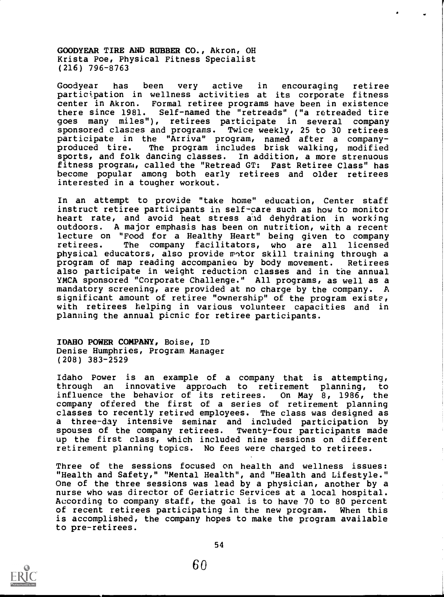GOODYEAR TIRE AND RUBBER CO., Akron, OH Krista Poe, Physical Fitness Specialist (216) 796-8763

Goodyear has been very active in encouraging retiree participation in wellness activities at its corporate fitness center in Akron. Formal retiree programs have been in existence there since 1981. Self-named the "retreads" ("a retreaded tire goes many miles"), retirees participate in several company<br>sponsored classes and programs. Twice weekly, 25 to 30 retirees Twice weekly, 25 to 30 retirees participate in the "Arriva" program, named after a companyproduced tire. The program includes brisk walking, modified sports, and folk dancing classes. In addition, a more strenuous fitness program, called the "Retread GT: Fast Retiree Class" has become popular among both early retirees and older retirees interested in a tougher workout.

In an attempt to provide "take home" education, Center staff instruct retiree participants in self-care such as how to monitor heart rate, and avoid heat stress aid dehydration in working outdoors. A major emphasis has been on nutrition, with a recent lecture on "Food for a Healthy Heart" being given to company retirees. The company facilitators, who are all licensed physical educators, also provide motor skill training through a program of map reading accompanies by body movement. Retirees also participate in weight reduction classes and in the annual YMCA sponsored "Corporate Challenge." All programs, as well as a mandatory screening, are provided at no charge by the company. A significant amount of retiree "ownership" of the program exists, with retirees helping in various volunteer capacities and in planning the annual picnic for retiree participants.

IDAHO POWER COMPANY, Boise, ID Denise Humphries, Program Manager (208) 383-2529

Idaho Power is an example of a company that is attempting, through an innovative approach to retirement planning, to influence the behavior of its retirees. On May 8, 1986, the company offered the first of a series of retirement planning classes to recently retired employees. The class was designed as a three-day intensive seminar and included participation by spouses of the company retirees. Twenty-four participants made up the first class, which included nine sessions on different retirement planning topics. No fees were charged to retirees.

Three of the sessions focused on health and wellness issues: "Health and Safety," "Mental Health", and "Health and Lifestyle." One of the three sessions was lead by a physician, another by a nurse who was director of Geriatric Services at a local hospital. According to company staff, the goal is to have 70 to 80 percent of recent retirees participating in the new program. When this is accomplished, the company hopes to make the program available to pre-retirees.



60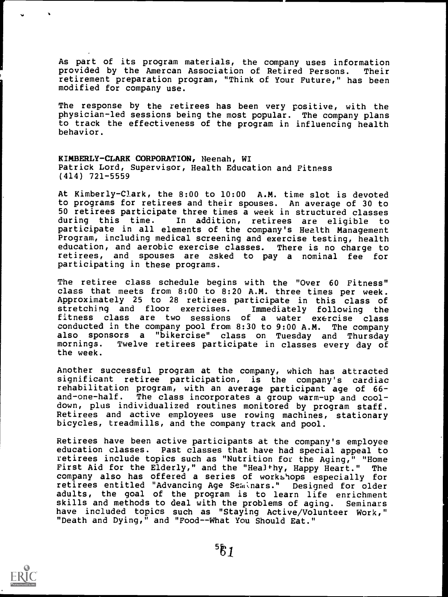As part of its program materials, the company uses information provided by the Amercan Association of Retired Persons. Their retirement preparation program, "Think of Your Future," has been modified for company use.

The response by the retirees has been very positive, with the physician-led sessions being the most popular. The company plans to track the effectiveness of the program in influencing health behavior.

KIMBERLY-CLARK CORPORATION, Neenah, WI Patrick Lord, Supervisor, Health Education and Fitness (414) 721-5559

At Kimberly-Clark, the 8:00 to 10:00 A.M. time slot is devoted to programs for retirees and their spouses. An average of 30 to 50 retirees participate three times a week in structured classes<br>during this time. In addition, retirees are eligible to In addition, retirees are eligible to participate in all elements of the company's Health Management Program, including medical screening and exercise testing, health education, and aerobic exercise classes. There is no charge to retirees, and spouses are asked to pay a nominal fee for participating in these programs.

The retiree class schedule begins with the "Over 60 Fitness" class that meets from 8:00 to 8:20 A.M. three times per week. Approximately 25 to 28 retirees participate in this class of stretching and floor exercises. Immediately following the stretching and floor exercises. Immediately following the fitness class are two sessions of a water exercise class conducted in the company pool from 8:30 to 9:00 A.M. The company also sponsors a "bikercise" class on Tuesday and Thursday<br>mornings. Twelve retirees participate in classes every day of Twelve retirees participate in classes every day of the week.

Another successful program at the company, which has attracted significant retiree participation, is the company's cardiac rehabilitation program, with an average participant age of 66-<br>and-one-half. The class incorporates a group warm-up and cool-The class incorporates a group warm-up and cooldown, plus individualized routines monitored by program staff. Retirees and active employees use rowing machines, stationary bicycles, treadmills, and the company track and pool.

Retirees have been active participants at the company's employee education classes. Past classes that have had special appeal to retirees include topics such as "Nutrition for the Aging," "Home First Aid for the Elderly," and the "Healthy, Happy Heart." The company also has offered a series of workshops especially for retirees entitled "Advancing Age Seminars." Designed for older adults, the goal of the program is to learn life enrichment skills and methods to deal with the problems of aging. Seminars have included topics such as "Staying Active/Volunteer Work," "Death and Dying," and "Food--What You Should Eat."

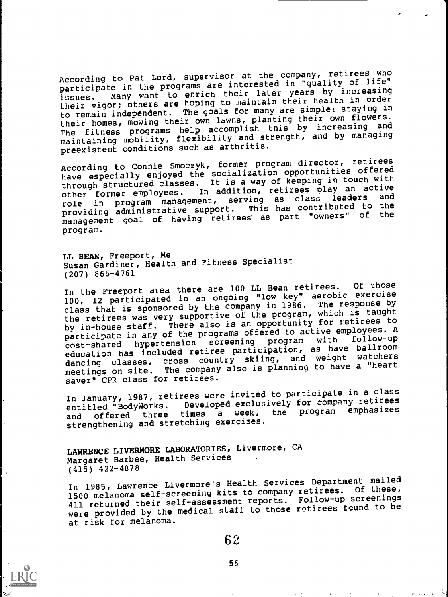According to Pat Lord, supervisor at the company, retirees who participate in the programs are interested in "quality of life" Many want to enrich their later years by increasing their vigor; others are hoping to maintain their health in order to remain independent. The goals for many are simple: staying in their homes, mowing their own lawns, planting their own flowers. their nomes, mowing their accomplish this by increasing and<br>The fitness programs help accomplish this by increasing and maintaining mobility, flexibility and strength, and by managing preexistent conditions such as arthritis.

According to Connie Smoczyk, former program director, retirees have especially enjoyed the socialization opportunities offered through structured classes. It is a way of keeping in touch with<br>other former employees. In addition, retirees play an active In addition, retirees play an active role in program management, serving as class leaders providing administrative support. This has contributed to the management goal of having retirees as part "owners" of the program.

LL BEAN, Freeport, Me Susan Gardiner, Health and Fitness Specialist (207) 865-4761

In the Freeport area there are 100 LL Bean retirees. Of those<br>In the Freeport area there are incurred thou key" aerobic exercise In the riesport area measured in an ongoing "low key" aerobic exercise<br>100, 12 participated in an ongoing "low key" aerobic exercise class that is sponsored by the company in 1986. The response by the retirees was very supportive of the program, which is taught by in-house staff. There also is an opportunity for retirees to participate in any of the programs offered to active employees. A cost-shared hypertension screening program with follow-up participate in any of the profession operator with follow-up<br>cost-shared hypertension screening program with follow-up education has included retiree participation, as have ballroom education has included recreating skiing, and weight watchers<br>dancing classes, cross country skiing, and weight watchers dancing classes, cross counce,<br>meetings on site. The company also is planning to have a "heart saver" CPR class for retirees.

In January, 1987, retirees were invited to participate in a class In January, 1987, receive oped exclusively for company retirees<br>entitled "BodyWorks. Developed exclusively for program emphasizes entitied BodyMorkS: exercise a week, the program emphasizes<br>and offered three times avergises and offered three times a week,<br>strengthening and stretching exercises.

LAWRENCE LIVERMORE LABORATORIES, Livermore, CA Margaret Barbee, Health Services (415) 422-4878

In 1985, Lawrence Livermore's Health Services Department mailed 1500 melanoma self-screening kits to company retirees. Of these, 411 returned their self-assessment reports. Follow-up screenings were provided by the medical staff to those retirees found to be at risk for melanoma.

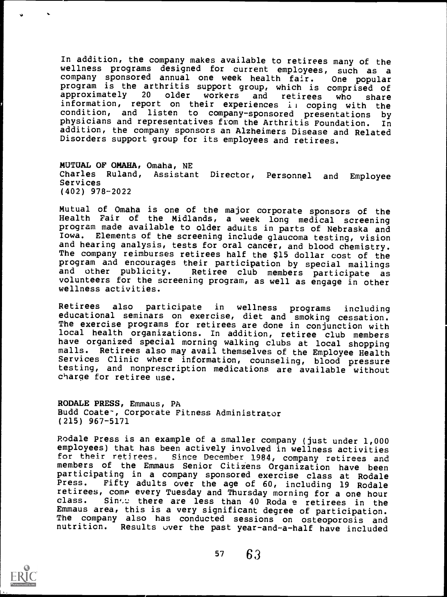In addition, the company makes available to retirees many of the wellness programs designed for current employees, such as <sup>a</sup> company sponsored annual one week health fair. One popular program is the arthritis support group, which is comprised of approximately 20 older workers and retirees who share approximately <sup>20</sup> older workers and retirees who share information, report on their experiences il coping with the condition, and listen to company-sponsored presentations by physicians and representatives from the Arthritis Foundation. In physicians and representatives from the Arthritis Foundation. addition, the company sponsors an Alzheimers Disease and Related Disorders support group for its employees and retirees.

MUTUAL OF OMAHA, Omaha, NE Charles Ruland, Assistant Director, Personnel and Employee Services (402) 978-2022

Mutual of Omaha is one of the major corporate sponsors of the Health Fair of the Midlands, <sup>a</sup> week long medical screening program made available to older adults in parts of Nebraska and Iowa. Elements of the screening include glaucoma testing, vision and hearing analysis, tests for oral cancer, and blood chemistry. The company reimburses retirees half the \$15 dollar cost of the program and encourages their participation by special mailings and other publicity. Retiree club members participate as volunteers for the screening program, as well as engage in other wellness activities.

Retirees also participate in wellness programs including<br>educational seminars on exercise, diet and smoking cessation.<br>The exercise programs for retirees are done in conjunction with Iocal health organizations. In addition, retiree club members have organized special morning walking clubs at local shopping malls. Retirees also may avail themselves of the Employee Health Services Clinic where information, counseling, blood pressure testing, and nonprescription medications are available without charge for retiree use.

RODALE PRESS, Emmaus, PA Budd Coate-, Corporate Fitness Administrator (215) 967-5171

Rodale Press is an example of a smaller company (just under 1,000 employees) that has been actively involved in wellness activities<br>for their retirees. Since December 1984, company retirees and members of the Emmaus Senior Citizens Organization have been participating in a company sponsored exercise class at Rodale<br>Press. Fifty adults over the age of 60, including 19 Podale Fifty adults over the age of 60, including 19 Rodale retirees, come every Tuesday and Thursday morning for a one hour<br>class. Sinto there are less than 40 Roda a retiress in the Sink: there are less than 40 Roda e retirees in the Emmaus area, this is a very significant degree of participation. The company also has conducted sessions on osteoporosis and nutrition. Results over the past year-and-a-half have included

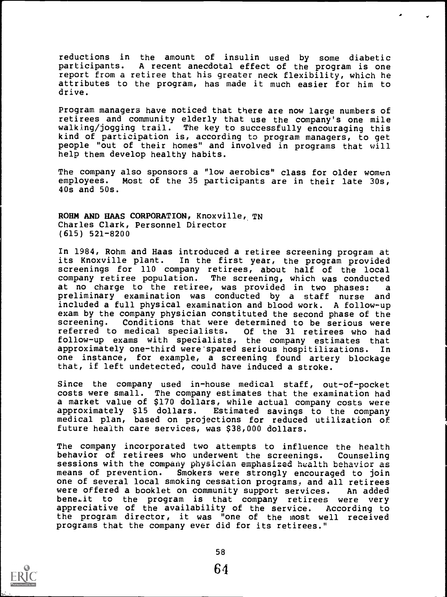reductions in the amount of insulin used by some diabetic<br>participants. A recent anecdotal effect of the program is one A recent anecdotal effect of the program is one report from a retiree that his greater neck flexibility, which he attributes to the program, has made it much easier for him to drive.

Program managers have noticed that there are now large numbers of retirees and community elderly that use the company's one mile walking/jogging trail. The key to successfully encouraging this kind of participation is, according to program managers, to get people "out of their homes" and involved in programs that will help them develop healthy habits.

The company also sponsors a "low aerobics" class for older women employees. Most of the 35 participants are in their late 30s, 40s and 50s.

ROHM AND HAAS CORPORATION, Knoxville, TN Charles Clark, Personnel Director (615) 521-8200

In 1984, Rohm and Haas introduced a retiree screening program at its Knoxville plant. In the first year, the program provided screenings for 110 company retirees, about half of the local company retiree population. The screening, which was conducted at no charge to the retiree, was provided in two phases: <sup>a</sup> preliminary examination was conducted by <sup>a</sup> staff nurse and included a full physical examination and blood work. A follow-up exam by the company physician constituted the second phase of the screening. Conditions that were determined to be serious were<br>referred to medical specialists. Of the 31 retirees who had referred to medical specialists. follow-up exams with specialists, the company estimates that approximately one-third were'spared serious hospitilizations. In one instance, for example, a screening found artery blockage that, if left undetected, could have induced a stroke.

Since the company used in-house medical staff, out-of-pocket costs were small. The company estimates that the examination had a market value of \$170 dollars, while actual company costs were approximately \$15 dollars. Estimated savings to the company medical plan, based on projections for reduced utilization of future health care services, was \$38,000 dollars.

The company incorporated two attempts to influence the health behavior of retirees who underwent the screenings. Counseling sessions with the company physician emphasized health behavior as means of prevention. Smokers were strongly encouraged to join Smokers were strongly encouraged to join one of several local smoking cessation programs, and all retirees were offered a booklet on community support services. An added bene.it to the program is that company retirees were very appreciative of the availability of the service. According to the program director, it was "one of the most well received programs that the company ever did for its retirees."

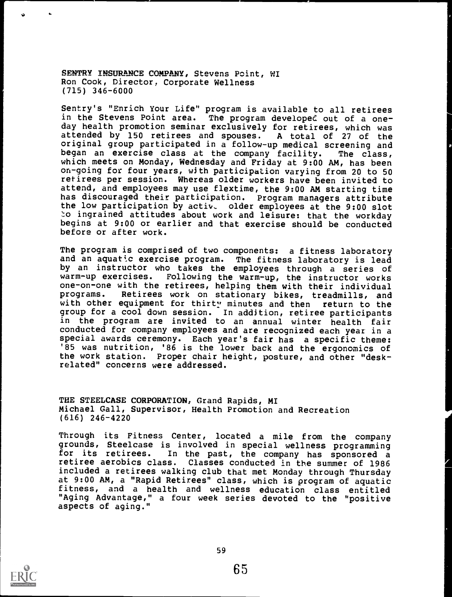SENTRY INSURANCE COMPANY, Stevens Point, WI Ron Cook, Director, Corporate Wellness (715) 346-6000

Sentry's "Enrich Your Life" program is available to all retirees in the Stevens Point area. The program developed out of a oneday health promotion seminar exclusively for retirees, which was attended by 150 retirees and spouses. A total of <sup>27</sup> of the original group participated in a follow-up medical screening and began an exercise class at the company facility. The class, which meets on Monday, Wednesday and Friday at 9:00 AM, has been on-going for four years, with participation varying from 20 to 50 retirees per session. Whereas older workers have been invited to attend, and employees may use flextime, the 9:00 AM starting time has discouraged their participation. Program managers attribute the low participation by activ, older employees at the 9:00 slot to ingrained attitudes about work and leisure: that the workday begins at 9:00 or earlier and that exercise should be conducted before or after work.

The program is comprised of two components: a fitness laboratory and an aquatic exercise program. The fitness laboratory is lead by an instructor who takes the employees through a series of warm-up exercises. Following the warm-up, the instructor works Following the warm-up, the instructor works one-on-one with the retirees, helping them with their individual programs. Retirees work on stationary bikes, treadmills, and with other equipment for thirty minutes and then return to the with other equipment for thirty minutes and then group for a cool down session. In addition, retiree participants in the program are invited to an annual winter health fair<br>conducted for company employees and are recognized each year in a special awards ceremony. Each year's fair has a specific theme: '85 was nutrition, '86 is the lower back and the ergonomics of the work station. Proper chair height, posture, and other "deskrelated" concerns were addressed.

THE STEELCASE CORPORATION, Grand Rapids, MI Michael Gall, Supervisor, Health Promotion and Recreation (616) 246-4220

Through its Fitness Center, located a mile from the company grounds, Steelcase is involved in special wellness programming<br>for its retirees. In the past, the company has sponsored a In the past, the company has sponsored a retiree aerobics class. Classes conducted in the summer of 1986 included a retirees walking club that met Monday through Thursday at 9:00 AM, a "Rapid Retirees" class, which is program of aquatic fitness, and <sup>a</sup> health and wellness education class entitled "Aging Advantage," a four week series devoted to the "positive aspects of aging."

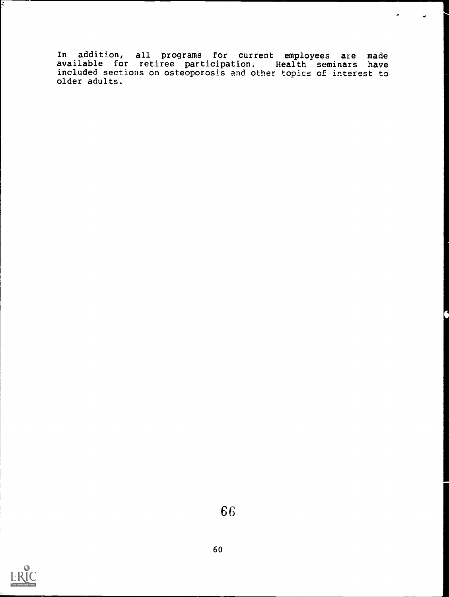In addition, all programs for current employees are made available for retiree participation. Health seminars have included sections on osteoporosis and other topics of interest to older adults.

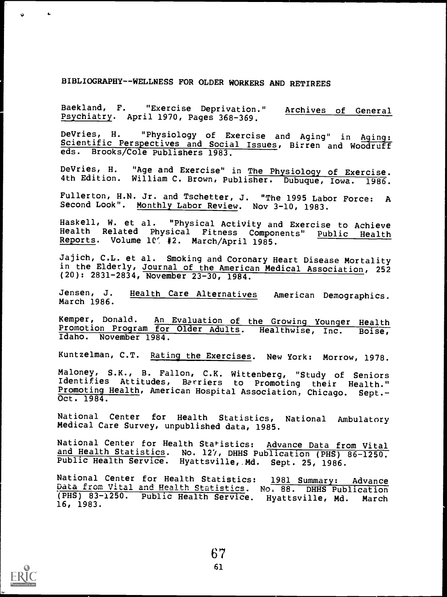## BIBLIOGRAPHY--WELLNESS FOR OLDER WORKERS AND RETIREES

Baekland, F. "Exercise Deprivation." Archives of General Psychiatry. April 1970, Pages 368-369.

DeVries, H. "Physiology of Exercise and Aging" in Aging:<br>Scientific Perspectives and Social Issues, Birren and Woodruff<br>eds. Brooks/Cole Publishers 1983 Brooks/Cole Publishers 1983.

DeVries, H. "Age and Exercise" in The Physiology of Exercise. 4th Edition. William C. Brown, Publisher. Dubuque, Iowa. 1986.

Fullerton, H.N. Jr. and Tschetter, J. "The 1995 Labor Force: A Second Look". Monthly Labor Review. Nov 3-10, 1983.

Haskell, W. et al. "Physical ActiVity and Exercise to Achieve Health Related Physical Fitness Components" Reports. Volume 107 #2. March/April 1985.

Jajich, C.L. et al. Smoking and Coronary Heart Disease Mortality in the Elderly, Journal of the American Medical Association, 252 (20): 2831-2834, November 23-30, 1984.

Jensen, J. Health Care Alternatives American Demographics. March 1986.

Kemper, Donald. An Evaluation of the Growing Younger Health<br>Promotion Program for Older Adults. Healthwise, Inc. Boise, Promotion Program for Older Adults. Healthwise, Inc. Idaho. November 1984.

Kuntzelman, C.T. Rating the Exercises. New York: Morrow, 1978.

Maloney, S.K., B. Fallon, C.K. Wittenberg, "Study of Seniors Identifies Attitudes, Barriers to Promoting their Health." Promoting Health, American Hospital Association, Chicago. Sept.-

National Center for Health Statistics, National Ambulatory Medical Care Survey, unpublished data, 1985.

National Center for Health Statistics: Advance Data from Vital and Health Statistics. No. 127, DHHS Publication (PHS) 86-1250. Public Health Service. Hyattsville, Md. Sept. 25, 1986.

National Center for Health Statistics: 1981 Summary: Advance Data from Vital and Health Statistics. No. 88. DHHS Publication (PHS) 83-1250. Public Health Service. Hyattsville, Md. March 16, 1983.



 $\sqrt{2}$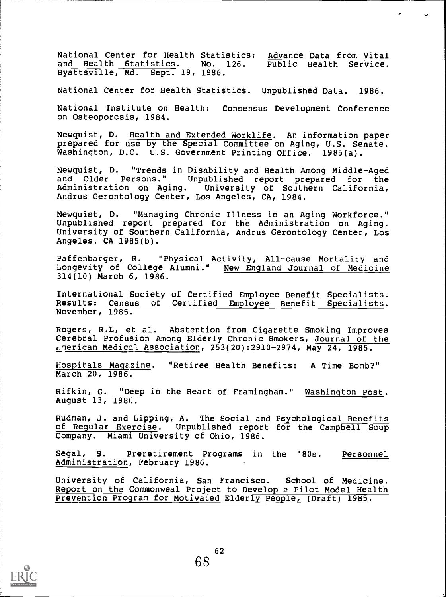National Center for Health Statistics: Advance Data from Vital<br>and Health Statistics. No. 126. Public Health Service. and Health Statistics. Hyattsville, Md. Sept. 19, 1986.

National Center for Health Statistics. Unpublished Data. 1986.

National Institute on Health: Consensus Development Conference on Osteoporosis, 1984.

Newquist, D. Health and Extended Worklife. An information paper prepared for use by the Special Committee on Aging, U.S. Senate. Washington, D.C. U.S. Government Printing Office. 1985(a).

Newquist, D. "Trends in Disability and Health Among Middle-Aged and Older Persons." Unpublished report prepared for the Administration on Aging. University of Southern California, University of Southern California, Andrus Gerontology Center, Los Angeles, CA, 1984.

Newquist, D. "Managing Chronic Illness in an Aging Workforce." Unpublished report prepared for the Administration on Aging. University of Southern California, Andrus Gerontology Center, Los Angeles, CA 1985(b).

Paffenbarger, R. "Physical Activity, All-cause Mortality and Longevity of College Alumni." New England Journal of Medicine 314(10) March 6, 1986.

International Society of Certified Employee Benefit Specialists. Results: Census of Certified Employee Benefit Specialists. November, 1985.

Rogers, R.L, et al. Abstention from Cigarette Smoking Improves Cerebral Profusion Among Elderly Chronic Smokers, Journal of the  $t$ -merican Medical Association, 253(20):2910-2974, May 24, 1985.

Hospitals Magazine. "Retiree Health Benefits: A Time Bomb?" March 20, 1986.

Rifkin, G. "Deep in the Heart of Framingham." Washington Post. August 13, 1986.

Rudman, J. and Lipping, A. The Social and Psychological Benefits of Regular Exercise. Unpublished report for the Campbell Soup Company. Miami University of Ohio, 1986.

Segal, S. Preretirement Programs in the '80s. Personnel Administration, February 1986.

University of California, San Francisco. School of Medicine. Report on the Commonweal Project to Develop a Pilot Model Health Prevention Program for Motivated Elderly People, (Draft) 1985.

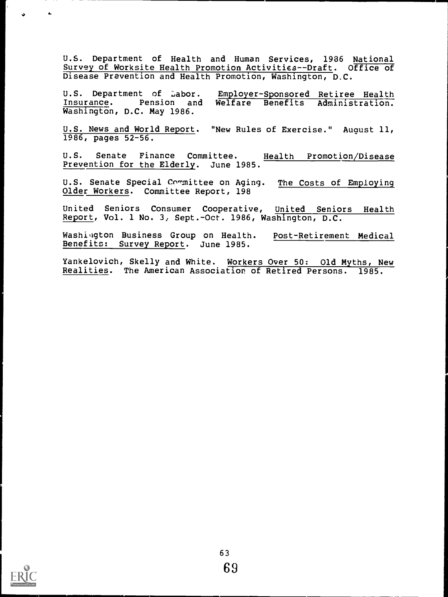U.S. Department of Health and Human Services, 1936 National Survey of Worksite Health Promotion Activities--Draft. Office of Disease Prevention and Health Promotion, Washington, D.C.

U.S. Department of Labor. Employer-Sponsored Retiree Health<br>Insurance. Pension and Welfare Benefits Administration. Welfare Benefits Administration. Washington, D.C. May 1986.

U.S. News and World Report. "New Rules of Exercise." August 11, 1986, pages 52-56.

U.S. Senate Finance Committee. Health Promotion/Disease Prevention for the Elderly. June 1985.

U.S. Senate Special Committee on Aging. The Costs of Employing Older Workers. Committee Report, 198

United Seniors Consumer Cooperative, United Seniors Health Report, Vol. 1 No. 3, Sept.-Oct. 1986, Washington, D.C.

Washington Business Group on Health. Post-Retirement Medical Benefits: Survey Report. June 1985.

Yankelovich, Skelly and White. Workers Over 50: Old Myths, New Realities. The American Association of Retired Persons. 1985.



 $\Delta$